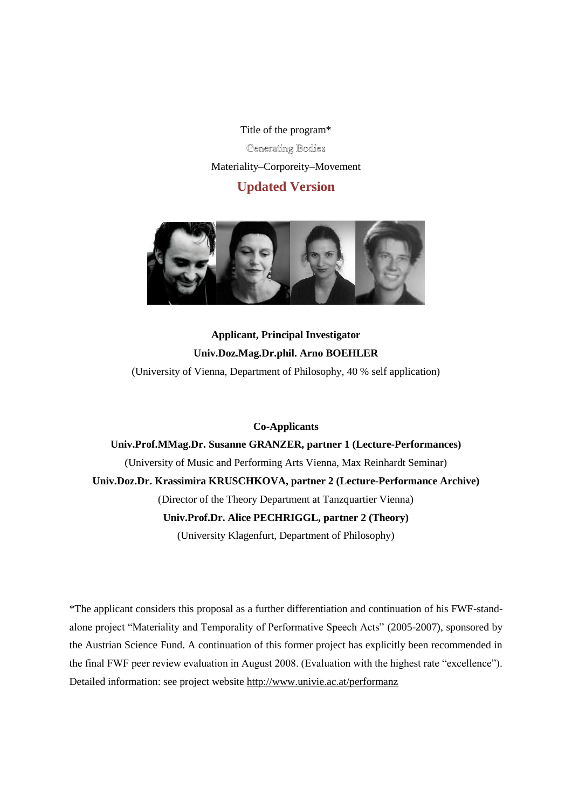Title of the program\*

# **Generating Bodies**

Materiality–Corporeity–Movement

# **Updated Version**



# **Applicant, Principal Investigator Univ.Doz.Mag.Dr.phil. Arno BOEHLER** (University of Vienna, Department of Philosophy, 40 % self application)

# **Co-Applicants**

# **Univ.Prof.MMag.Dr. Susanne GRANZER, partner 1 (Lecture-Performances)** (University of Music and Performing Arts Vienna, Max Reinhardt Seminar) **Univ.Doz.Dr. Krassimira KRUSCHKOVA, partner 2 (Lecture-Performance Archive)** (Director of the Theory Department at Tanzquartier Vienna) **Univ.Prof.Dr. Alice PECHRIGGL, partner 2 (Theory)** (University Klagenfurt, Department of Philosophy)

\*The applicant considers this proposal as a further differentiation and continuation of his FWF-standalone project "Materiality and Temporality of Performative Speech Acts" (2005-2007), sponsored by the Austrian Science Fund. A continuation of this former project has explicitly been recommended in the final FWF peer review evaluation in August 2008. (Evaluation with the highest rate "excellence"). Detailed information: see project website<http://www.univie.ac.at/performanz>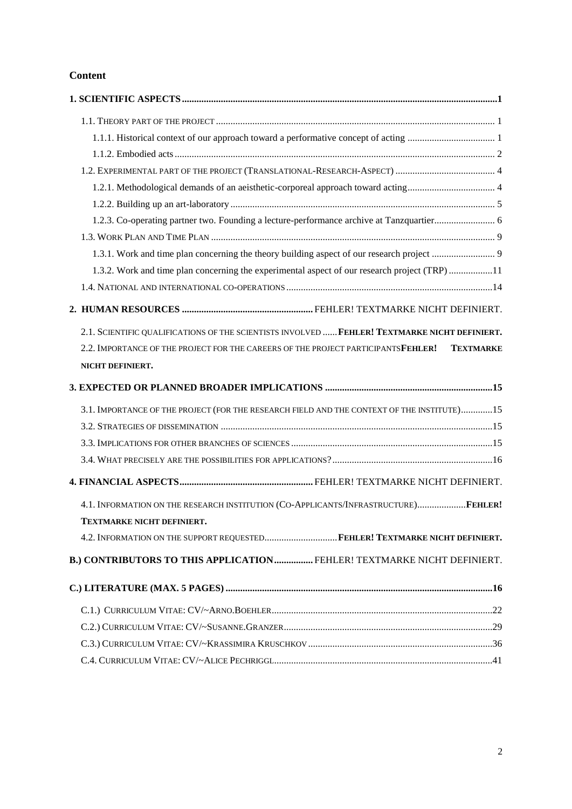# **Content**

| 1.3.2. Work and time plan concerning the experimental aspect of our research project (TRP)11           |  |
|--------------------------------------------------------------------------------------------------------|--|
|                                                                                                        |  |
|                                                                                                        |  |
| 2.1. SCIENTIFIC QUALIFICATIONS OF THE SCIENTISTS INVOLVED  FEHLER! TEXTMARKE NICHT DEFINIERT.          |  |
| 2.2. IMPORTANCE OF THE PROJECT FOR THE CAREERS OF THE PROJECT PARTICIPANTS FEHLER!<br><b>TEXTMARKE</b> |  |
| NICHT DEFINIERT.                                                                                       |  |
|                                                                                                        |  |
|                                                                                                        |  |
| 3.1. IMPORTANCE OF THE PROJECT (FOR THE RESEARCH FIELD AND THE CONTEXT OF THE INSTITUTE)15             |  |
|                                                                                                        |  |
|                                                                                                        |  |
|                                                                                                        |  |
|                                                                                                        |  |
| 4.1. INFORMATION ON THE RESEARCH INSTITUTION (CO-APPLICANTS/INFRASTRUCTURE)FEHLER!                     |  |
| <b>TEXTMARKE NICHT DEFINIERT.</b>                                                                      |  |
| 4.2. INFORMATION ON THE SUPPORT REQUESTEDFEHLER! TEXTMARKE NICHT DEFINIERT.                            |  |
| B.) CONTRIBUTORS TO THIS APPLICATION FEHLER! TEXTMARKE NICHT DEFINIERT.                                |  |
|                                                                                                        |  |
|                                                                                                        |  |
|                                                                                                        |  |
|                                                                                                        |  |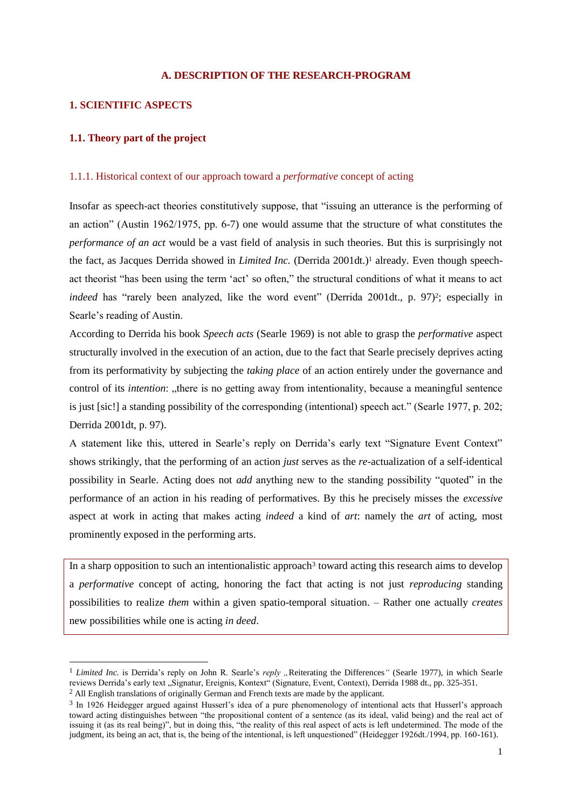# **A. DESCRIPTION OF THE RESEARCH-PROGRAM**

## **1. SCIENTIFIC ASPECTS**

# **1.1. Theory part of the project**

#### 1.1.1. Historical context of our approach toward a *performative* concept of acting

Insofar as speech-act theories constitutively suppose, that "issuing an utterance is the performing of an action" (Austin 1962/1975, pp. 6-7) one would assume that the structure of what constitutes the *performance of an act* would be a vast field of analysis in such theories. But this is surprisingly not the fact, as Jacques Derrida showed in *Limited Inc.* (Derrida 2001dt.)<sup>1</sup> already. Even though speechact theorist "has been using the term "act" so often," the structural conditions of what it means to act indeed has "rarely been analyzed, like the word event" (Derrida 2001dt., p. 97)<sup>2</sup>; especially in Searle"s reading of Austin.

According to Derrida his book *Speech acts* (Searle 1969) is not able to grasp the *performative* aspect structurally involved in the execution of an action, due to the fact that Searle precisely deprives acting from its performativity by subjecting the *taking place* of an action entirely under the governance and control of its *intention*: "there is no getting away from intentionality, because a meaningful sentence is just [sic!] a standing possibility of the corresponding (intentional) speech act." (Searle 1977, p. 202; Derrida 2001dt, p. 97).

A statement like this, uttered in Searle"s reply on Derrida"s early text "Signature Event Context" shows strikingly, that the performing of an action *just* serves as the *re-*actualization of a self-identical possibility in Searle. Acting does not *add* anything new to the standing possibility "quoted" in the performance of an action in his reading of performatives. By this he precisely misses the *excessive* aspect at work in acting that makes acting *indeed* a kind of *art*: namely the *art* of acting, most prominently exposed in the performing arts.

In a sharp opposition to such an intentionalistic approach<sup>3</sup> toward acting this research aims to develop a *performative* concept of acting, honoring the fact that acting is not just *reproducing* standing possibilities to realize *them* within a given spatio-temporal situation. – Rather one actually *creates* new possibilities while one is acting *in deed*.

 $\overline{a}$ 

<sup>&</sup>lt;sup>1</sup> *Limited Inc.* is Derrida's reply on John R. Searle's *reply*, Reiterating the Differences<sup>*"*</sup> (Searle 1977), in which Searle reviews Derrida's early text "Signatur, Ereignis, Kontext" (Signature, Event, Context), Derrida 1988 dt., pp. 325-351. <sup>2</sup> All English translations of originally German and French texts are made by the applicant.

<sup>&</sup>lt;sup>3</sup> In 1926 Heidegger argued against Husserl's idea of a pure phenomenology of intentional acts that Husserl's approach toward acting distinguishes between "the propositional content of a sentence (as its ideal, valid being) and the real act of issuing it (as its real being)", but in doing this, "the reality of this real aspect of acts is left undetermined. The mode of the judgment, its being an act, that is, the being of the intentional, is left unquestioned" (Heidegger 1926dt./1994, pp. 160-161).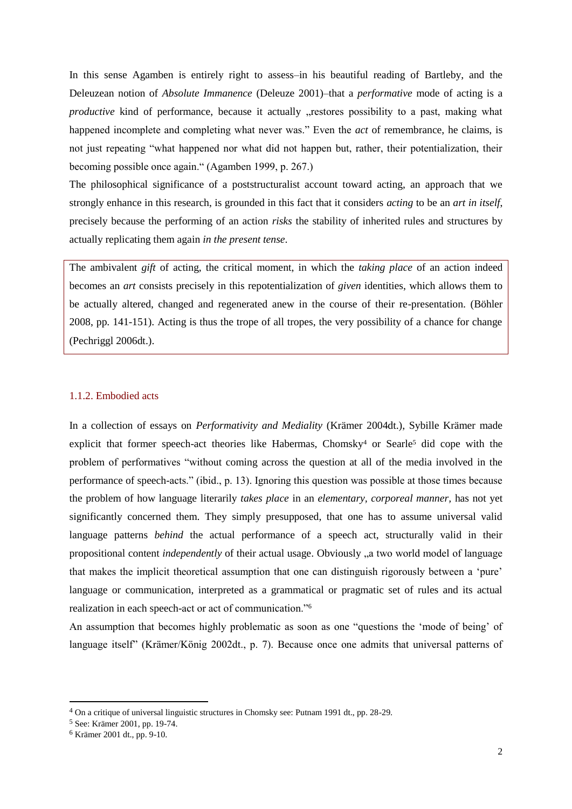In this sense Agamben is entirely right to assess–in his beautiful reading of Bartleby, and the Deleuzean notion of *Absolute Immanence* (Deleuze 2001)–that a *performative* mode of acting is a *productive* kind of performance, because it actually "restores possibility to a past, making what happened incomplete and completing what never was." Even the *act* of remembrance, he claims, is not just repeating "what happened nor what did not happen but, rather, their potentialization, their becoming possible once again." (Agamben 1999, p. 267.)

The philosophical significance of a poststructuralist account toward acting, an approach that we strongly enhance in this research, is grounded in this fact that it considers *acting* to be an *art in itself*, precisely because the performing of an action *risks* the stability of inherited rules and structures by actually replicating them again *in the present tense*.

The ambivalent *gift* of acting, the critical moment, in which the *taking place* of an action indeed becomes an *art* consists precisely in this repotentialization of *given* identities, which allows them to be actually altered, changed and regenerated anew in the course of their re-presentation. (Böhler 2008, pp. 141-151). Acting is thus the trope of all tropes, the very possibility of a chance for change (Pechriggl 2006dt.).

#### 1.1.2. Embodied acts

In a collection of essays on *Performativity and Mediality* (Krämer 2004dt.), Sybille Krämer made explicit that former speech-act theories like Habermas, Chomsky<sup>4</sup> or Searle<sup>5</sup> did cope with the problem of performatives "without coming across the question at all of the media involved in the performance of speech-acts." (ibid., p. 13). Ignoring this question was possible at those times because the problem of how language literarily *takes place* in an *elementary, corporeal manner,* has not yet significantly concerned them. They simply presupposed, that one has to assume universal valid language patterns *behind* the actual performance of a speech act, structurally valid in their propositional content *independently* of their actual usage. Obviously "a two world model of language that makes the implicit theoretical assumption that one can distinguish rigorously between a "pure" language or communication, interpreted as a grammatical or pragmatic set of rules and its actual realization in each speech-act or act of communication."<sup>6</sup>

An assumption that becomes highly problematic as soon as one "questions the "mode of being" of language itself" (Krämer/König 2002dt., p. 7). Because once one admits that universal patterns of

l

<sup>4</sup> On a critique of universal linguistic structures in Chomsky see: Putnam 1991 dt., pp. 28-29.

<sup>5</sup> See: Krämer 2001, pp. 19-74.

<sup>6</sup> Krämer 2001 dt., pp. 9-10.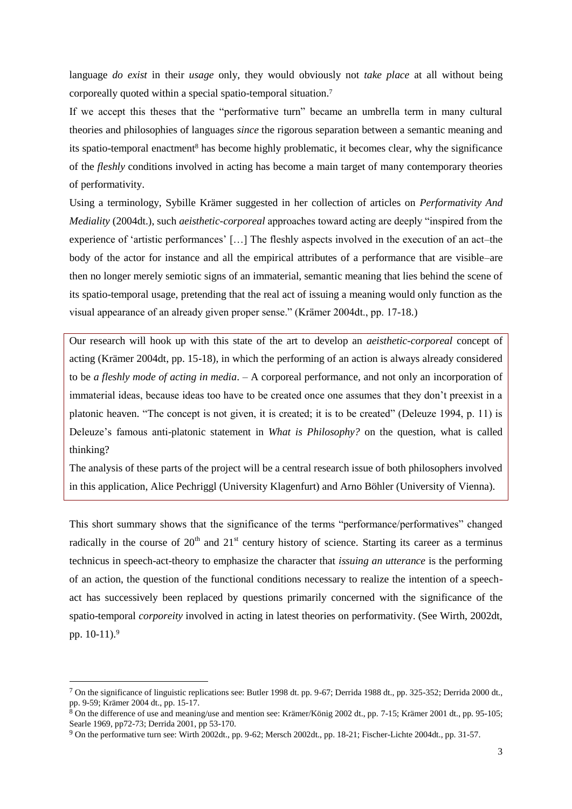language *do exist* in their *usage* only, they would obviously not *take place* at all without being corporeally quoted within a special spatio-temporal situation.<sup>7</sup>

If we accept this theses that the "performative turn" became an umbrella term in many cultural theories and philosophies of languages *since* the rigorous separation between a semantic meaning and its spatio-temporal enactment<sup>8</sup> has become highly problematic, it becomes clear, why the significance of the *fleshly* conditions involved in acting has become a main target of many contemporary theories of performativity.

Using a terminology, Sybille Krämer suggested in her collection of articles on *Performativity And Mediality* (2004dt.), such *aeisthetic-corporeal* approaches toward acting are deeply "inspired from the experience of 'artistic performances' [...] The fleshly aspects involved in the execution of an act–the body of the actor for instance and all the empirical attributes of a performance that are visible–are then no longer merely semiotic signs of an immaterial, semantic meaning that lies behind the scene of its spatio-temporal usage, pretending that the real act of issuing a meaning would only function as the visual appearance of an already given proper sense." (Krämer 2004dt., pp. 17-18.)

Our research will hook up with this state of the art to develop an *aeisthetic-corporeal* concept of acting (Krämer 2004dt, pp. 15-18), in which the performing of an action is always already considered to be *a fleshly mode of acting in media*. – A corporeal performance, and not only an incorporation of immaterial ideas, because ideas too have to be created once one assumes that they don"t preexist in a platonic heaven. "The concept is not given, it is created; it is to be created" (Deleuze 1994, p. 11) is Deleuze"s famous anti-platonic statement in *What is Philosophy?* on the question, what is called thinking?

The analysis of these parts of the project will be a central research issue of both philosophers involved in this application, Alice Pechriggl (University Klagenfurt) and Arno Böhler (University of Vienna).

This short summary shows that the significance of the terms "performance/performatives" changed radically in the course of  $20<sup>th</sup>$  and  $21<sup>st</sup>$  century history of science. Starting its career as a terminus technicus in speech-act-theory to emphasize the character that *issuing an utterance* is the performing of an action, the question of the functional conditions necessary to realize the intention of a speechact has successively been replaced by questions primarily concerned with the significance of the spatio-temporal *corporeity* involved in acting in latest theories on performativity. (See Wirth, 2002dt, pp. 10-11).<sup>9</sup>

 $\overline{a}$ 

<sup>&</sup>lt;sup>7</sup> On the significance of linguistic replications see: Butler 1998 dt. pp. 9-67; Derrida 1988 dt., pp. 325-352; Derrida 2000 dt., pp. 9-59; Krämer 2004 dt., pp. 15-17.

<sup>8</sup> On the difference of use and meaning/use and mention see: Krämer/König 2002 dt., pp. 7-15; Krämer 2001 dt., pp. 95-105; Searle 1969, pp72-73; Derrida 2001, pp 53-170.

 $9$  On the performative turn see: Wirth 2002dt., pp. 9-62; Mersch 2002dt., pp. 18-21; Fischer-Lichte 2004dt., pp. 31-57.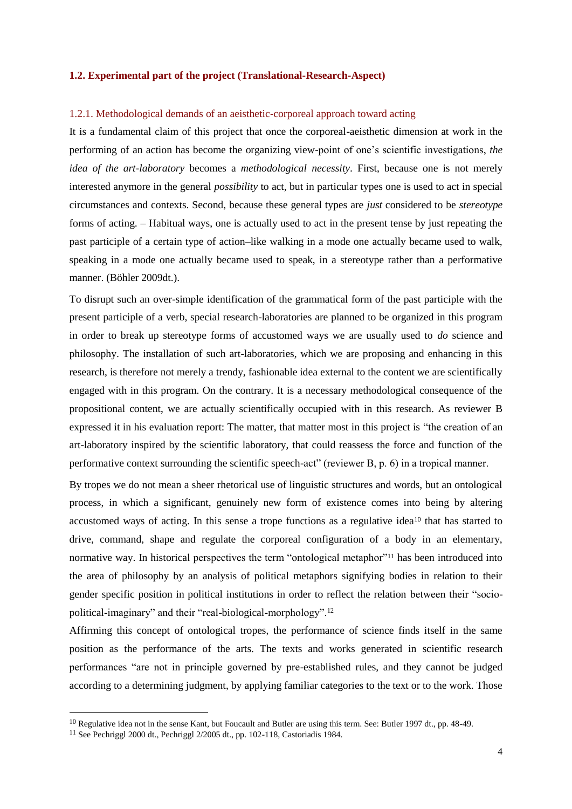#### **1.2. Experimental part of the project (Translational-Research-Aspect)**

#### 1.2.1. Methodological demands of an aeisthetic-corporeal approach toward acting

It is a fundamental claim of this project that once the corporeal-aeisthetic dimension at work in the performing of an action has become the organizing view-point of one"s scientific investigations, *the idea of the art-laboratory* becomes a *methodological necessity*. First, because one is not merely interested anymore in the general *possibility* to act, but in particular types one is used to act in special circumstances and contexts. Second, because these general types are *just* considered to be *stereotype* forms of acting. – Habitual ways, one is actually used to act in the present tense by just repeating the past participle of a certain type of action–like walking in a mode one actually became used to walk, speaking in a mode one actually became used to speak, in a stereotype rather than a performative manner. (Böhler 2009dt.).

To disrupt such an over-simple identification of the grammatical form of the past participle with the present participle of a verb, special research-laboratories are planned to be organized in this program in order to break up stereotype forms of accustomed ways we are usually used to *do* science and philosophy. The installation of such art-laboratories, which we are proposing and enhancing in this research, is therefore not merely a trendy, fashionable idea external to the content we are scientifically engaged with in this program. On the contrary. It is a necessary methodological consequence of the propositional content, we are actually scientifically occupied with in this research. As reviewer B expressed it in his evaluation report: The matter, that matter most in this project is "the creation of an art-laboratory inspired by the scientific laboratory, that could reassess the force and function of the performative context surrounding the scientific speech-act" (reviewer B, p. 6) in a tropical manner.

By tropes we do not mean a sheer rhetorical use of linguistic structures and words, but an ontological process, in which a significant, genuinely new form of existence comes into being by altering accustomed ways of acting. In this sense a trope functions as a regulative idea<sup>10</sup> that has started to drive, command, shape and regulate the corporeal configuration of a body in an elementary, normative way. In historical perspectives the term "ontological metaphor"<sup>11</sup> has been introduced into the area of philosophy by an analysis of political metaphors signifying bodies in relation to their gender specific position in political institutions in order to reflect the relation between their "sociopolitical-imaginary" and their "real-biological-morphology".<sup>12</sup>

Affirming this concept of ontological tropes, the performance of science finds itself in the same position as the performance of the arts. The texts and works generated in scientific research performances "are not in principle governed by pre-established rules, and they cannot be judged according to a determining judgment, by applying familiar categories to the text or to the work. Those

 $\overline{a}$ 

 $10$  Regulative idea not in the sense Kant, but Foucault and Butler are using this term. See: Butler 1997 dt., pp. 48-49.

<sup>11</sup> See Pechriggl 2000 dt., Pechriggl 2/2005 dt., pp. 102-118, Castoriadis 1984.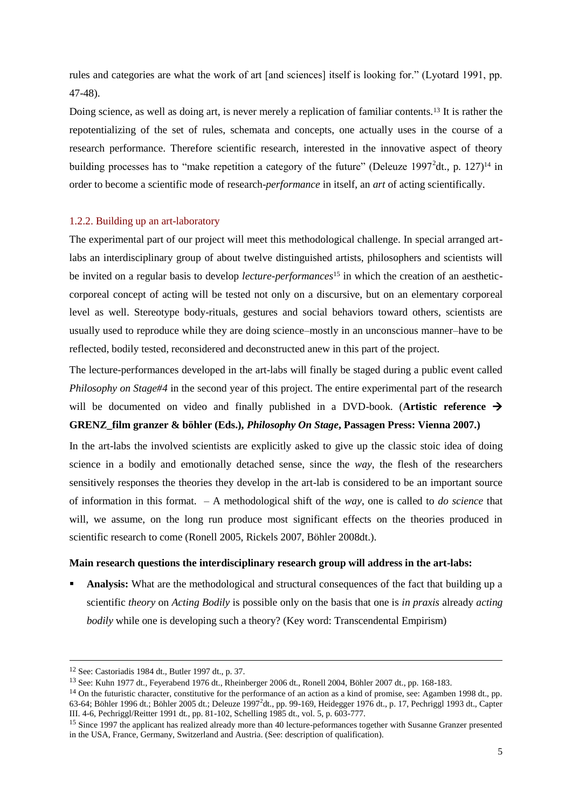rules and categories are what the work of art [and sciences] itself is looking for." (Lyotard 1991, pp. 47-48).

Doing science, as well as doing art, is never merely a replication of familiar contents.<sup>13</sup> It is rather the repotentializing of the set of rules, schemata and concepts, one actually uses in the course of a research performance. Therefore scientific research, interested in the innovative aspect of theory building processes has to "make repetition a category of the future" (Deleuze 1997<sup>2</sup>dt., p. 127)<sup>14</sup> in order to become a scientific mode of research-*performance* in itself, an *art* of acting scientifically.

#### 1.2.2. Building up an art-laboratory

The experimental part of our project will meet this methodological challenge. In special arranged artlabs an interdisciplinary group of about twelve distinguished artists, philosophers and scientists will be invited on a regular basis to develop *lecture-performances*<sup>15</sup> in which the creation of an aestheticcorporeal concept of acting will be tested not only on a discursive, but on an elementary corporeal level as well. Stereotype body-rituals, gestures and social behaviors toward others, scientists are usually used to reproduce while they are doing science–mostly in an unconscious manner–have to be reflected, bodily tested, reconsidered and deconstructed anew in this part of the project.

The lecture-performances developed in the art-labs will finally be staged during a public event called *Philosophy on Stage#4* in the second year of this project. The entire experimental part of the research will be documented on video and finally published in a DVD-book. (Artistic reference  $\rightarrow$ **GRENZ\_film granzer & böhler (Eds.),** *Philosophy On Stage***, Passagen Press: Vienna 2007.)**

In the art-labs the involved scientists are explicitly asked to give up the classic stoic idea of doing science in a bodily and emotionally detached sense, since the *way*, the flesh of the researchers sensitively responses the theories they develop in the art-lab is considered to be an important source of information in this format. – A methodological shift of the *way*, one is called to *do science* that will, we assume, on the long run produce most significant effects on the theories produced in scientific research to come (Ronell 2005, Rickels 2007, Böhler 2008dt.).

#### **Main research questions the interdisciplinary research group will address in the art-labs:**

 **Analysis:** What are the methodological and structural consequences of the fact that building up a scientific *theory* on *Acting Bodily* is possible only on the basis that one is *in praxis* already *acting bodily* while one is developing such a theory? (Key word: Transcendental Empirism)

l

<sup>12</sup> See: Castoriadis 1984 dt., Butler 1997 dt., p. 37.

<sup>13</sup> See: Kuhn 1977 dt., Feyerabend 1976 dt., Rheinberger 2006 dt., Ronell 2004, Böhler 2007 dt., pp. 168-183.

 $14$  On the futuristic character, constitutive for the performance of an action as a kind of promise, see: Agamben 1998 dt., pp. 63-64; Böhler 1996 dt.; Böhler 2005 dt.; Deleuze 1997<sup>2</sup> dt., pp. 99-169, Heidegger 1976 dt., p. 17, Pechriggl 1993 dt., Capter III. 4-6, Pechriggl/Reitter 1991 dt., pp. 81-102, Schelling 1985 dt., vol. 5, p. 603-777.

<sup>&</sup>lt;sup>15</sup> Since 1997 the applicant has realized already more than 40 lecture-peformances together with Susanne Granzer presented in the USA, France, Germany, Switzerland and Austria. (See: description of qualification).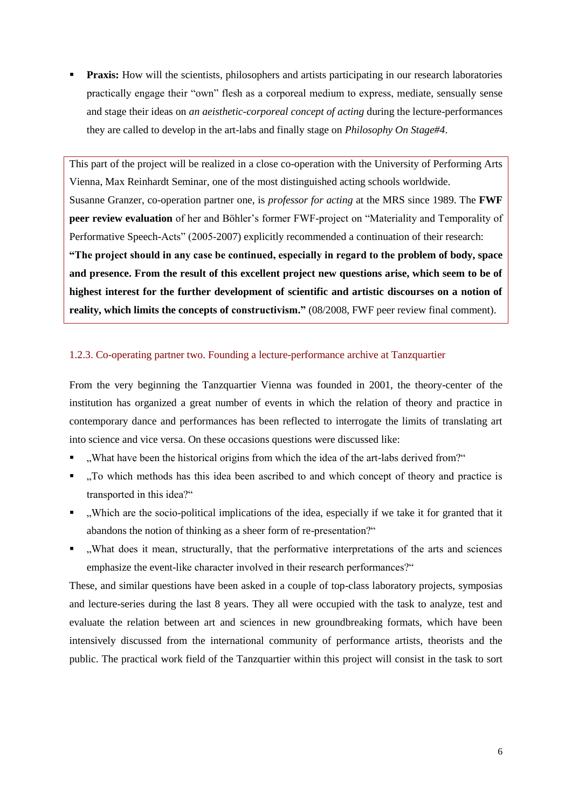**Praxis:** How will the scientists, philosophers and artists participating in our research laboratories practically engage their "own" flesh as a corporeal medium to express, mediate, sensually sense and stage their ideas on *an aeisthetic-corporeal concept of acting* during the lecture-performances they are called to develop in the art-labs and finally stage on *Philosophy On Stage#4*.

This part of the project will be realized in a close co-operation with the University of Performing Arts Vienna, Max Reinhardt Seminar, one of the most distinguished acting schools worldwide. Susanne Granzer, co-operation partner one, is *professor for acting* at the MRS since 1989. The **FWF peer review evaluation** of her and Böhler"s former FWF-project on "Materiality and Temporality of Performative Speech-Acts" (2005-2007) explicitly recommended a continuation of their research: **"The project should in any case be continued, especially in regard to the problem of body, space and presence. From the result of this excellent project new questions arise, which seem to be of highest interest for the further development of scientific and artistic discourses on a notion of reality, which limits the concepts of constructivism."** (08/2008, FWF peer review final comment).

# 1.2.3. Co-operating partner two. Founding a lecture-performance archive at Tanzquartier

From the very beginning the Tanzquartier Vienna was founded in 2001, the theory-center of the institution has organized a great number of events in which the relation of theory and practice in contemporary dance and performances has been reflected to interrogate the limits of translating art into science and vice versa. On these occasions questions were discussed like:

- ". What have been the historical origins from which the idea of the art-labs derived from?"
- "To which methods has this idea been ascribed to and which concept of theory and practice is transported in this idea?"
- "Which are the socio-political implications of the idea, especially if we take it for granted that it abandons the notion of thinking as a sheer form of re-presentation?"
- "What does it mean, structurally, that the performative interpretations of the arts and sciences emphasize the event-like character involved in their research performances?"

These, and similar questions have been asked in a couple of top-class laboratory projects, symposias and lecture-series during the last 8 years. They all were occupied with the task to analyze, test and evaluate the relation between art and sciences in new groundbreaking formats, which have been intensively discussed from the international community of performance artists, theorists and the public. The practical work field of the Tanzquartier within this project will consist in the task to sort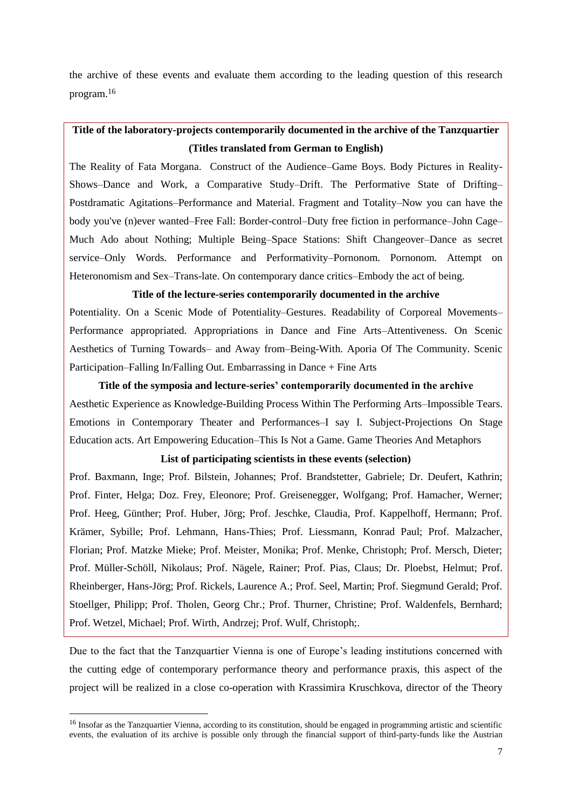the archive of these events and evaluate them according to the leading question of this research program.<sup>16</sup>

# **Title of the laboratory-projects contemporarily documented in the archive of the Tanzquartier (Titles translated from German to English)**

The Reality of Fata Morgana. Construct of the Audience–Game Boys. Body Pictures in Reality-Shows–Dance and Work, a Comparative Study–Drift. The Performative State of Drifting– Postdramatic Agitations–Performance and Material. Fragment and Totality–Now you can have the body you've (n)ever wanted–Free Fall: Border-control–Duty free fiction in performance–John Cage– Much Ado about Nothing; Multiple Being–Space Stations: Shift Changeover–Dance as secret service–Only Words. Performance and Performativity–Pornonom. Pornonom. Attempt on Heteronomism and Sex–Trans-late. On contemporary dance critics–Embody the act of being.

# **Title of the lecture-series contemporarily documented in the archive**

Potentiality. On a Scenic Mode of Potentiality–Gestures. Readability of Corporeal Movements– Performance appropriated. Appropriations in Dance and Fine Arts–Attentiveness. On Scenic Aesthetics of Turning Towards– and Away from–Being-With. Aporia Of The Community. Scenic Participation–Falling In/Falling Out. Embarrassing in Dance + Fine Arts

#### **Title of the symposia and lecture-series" contemporarily documented in the archive**

Aesthetic Experience as Knowledge-Building Process Within The Performing Arts–Impossible Tears. Emotions in Contemporary Theater and Performances–I say I. Subject-Projections On Stage Education acts. Art Empowering Education–This Is Not a Game. Game Theories And Metaphors

## **List of participating scientists in these events (selection)**

Prof. Baxmann, Inge; Prof. Bilstein, Johannes; Prof. Brandstetter, Gabriele; Dr. Deufert, Kathrin; Prof. Finter, Helga; Doz. Frey, Eleonore; Prof. Greisenegger, Wolfgang; Prof. Hamacher, Werner; Prof. Heeg, Günther; Prof. Huber, Jörg; Prof. Jeschke, Claudia, Prof. Kappelhoff, Hermann; Prof. Krämer, Sybille; Prof. Lehmann, Hans-Thies; Prof. Liessmann, Konrad Paul; Prof. Malzacher, Florian; Prof. Matzke Mieke; Prof. Meister, Monika; Prof. Menke, Christoph; Prof. Mersch, Dieter; Prof. Müller-Schöll, Nikolaus; Prof. Nägele, Rainer; Prof. Pias, Claus; Dr. Ploebst, Helmut; Prof. Rheinberger, Hans-Jörg; Prof. Rickels, Laurence A.; Prof. Seel, Martin; Prof. Siegmund Gerald; Prof. Stoellger, Philipp; Prof. Tholen, Georg Chr.; Prof. Thurner, Christine; Prof. Waldenfels, Bernhard; Prof. Wetzel, Michael; Prof. Wirth, Andrzej; Prof. Wulf, Christoph;.

Due to the fact that the Tanzquartier Vienna is one of Europe's leading institutions concerned with the cutting edge of contemporary performance theory and performance praxis, this aspect of the project will be realized in a close co-operation with Krassimira Kruschkova, director of the Theory

 $\overline{a}$ 

<sup>&</sup>lt;sup>16</sup> Insofar as the Tanzquartier Vienna, according to its constitution, should be engaged in programming artistic and scientific events, the evaluation of its archive is possible only through the financial support of third-party-funds like the Austrian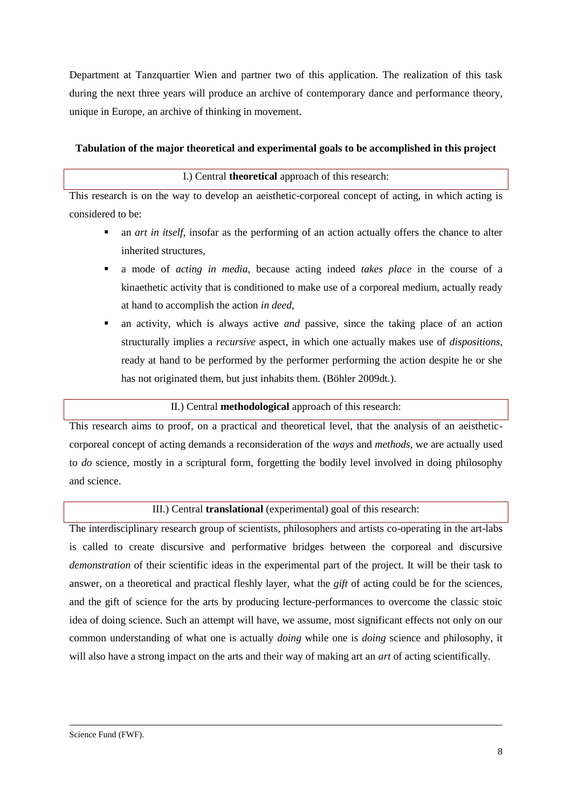Department at Tanzquartier Wien and partner two of this application. The realization of this task during the next three years will produce an archive of contemporary dance and performance theory, unique in Europe, an archive of thinking in movement.

# **Tabulation of the major theoretical and experimental goals to be accomplished in this project**

# I.) Central **theoretical** approach of this research:

This research is on the way to develop an aeisthetic-corporeal concept of acting, in which acting is considered to be:

- an *art in itself,* insofar as the performing of an action actually offers the chance to alter inherited structures,
- a mode of *acting in media*, because acting indeed *takes place* in the course of a kinaethetic activity that is conditioned to make use of a corporeal medium, actually ready at hand to accomplish the action *in deed*,
- an activity, which is always active *and* passive, since the taking place of an action structurally implies a *recursive* aspect, in which one actually makes use of *dispositions*, ready at hand to be performed by the performer performing the action despite he or she has not originated them, but just inhabits them. (Böhler 2009dt.).

# II.) Central **methodological** approach of this research:

This research aims to proof, on a practical and theoretical level, that the analysis of an aeistheticcorporeal concept of acting demands a reconsideration of the *ways* and *methods*, we are actually used to *do* science, mostly in a scriptural form, forgetting the bodily level involved in doing philosophy and science.

# III.) Central **translational** (experimental) goal of this research:

The interdisciplinary research group of scientists, philosophers and artists co-operating in the art-labs is called to create discursive and performative bridges between the corporeal and discursive *demonstration* of their scientific ideas in the experimental part of the project. It will be their task to answer, on a theoretical and practical fleshly layer, what the *gift* of acting could be for the sciences, and the gift of science for the arts by producing lecture-performances to overcome the classic stoic idea of doing science. Such an attempt will have, we assume, most significant effects not only on our common understanding of what one is actually *doing* while one is *doing* science and philosophy, it will also have a strong impact on the arts and their way of making art an *art* of acting scientifically.

l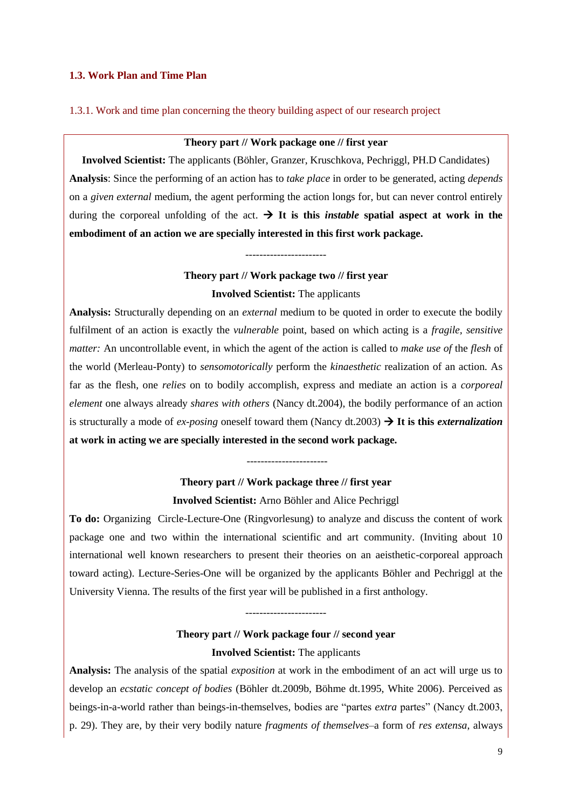# **1.3. Work Plan and Time Plan**

## 1.3.1. Work and time plan concerning the theory building aspect of our research project

# **Theory part // Work package one // first year**

**Involved Scientist:** The applicants (Böhler, Granzer, Kruschkova, Pechriggl, PH.D Candidates) **Analysis**: Since the performing of an action has to *take place* in order to be generated, acting *depends* on a *given external* medium, the agent performing the action longs for, but can never control entirely during the corporeal unfolding of the act.  $\rightarrow$  It is this *instable* spatial aspect at work in the **embodiment of an action we are specially interested in this first work package.**

# **Theory part // Work package two // first year Involved Scientist:** The applicants

-----------------------

**Analysis:** Structurally depending on an *external* medium to be quoted in order to execute the bodily fulfilment of an action is exactly the *vulnerable* point, based on which acting is a *fragile, sensitive matter:* An uncontrollable event, in which the agent of the action is called to *make use of* the *flesh* of the world (Merleau-Ponty) to *sensomotorically* perform the *kinaesthetic* realization of an action. As far as the flesh, one *relies* on to bodily accomplish, express and mediate an action is a *corporeal element* one always already *shares with others* (Nancy dt.2004), the bodily performance of an action is structurally a mode of *ex-posing* oneself toward them (Nancy dt.2003)  $\rightarrow$  It is this *externalization* **at work in acting we are specially interested in the second work package.**

# **Theory part // Work package three // first year Involved Scientist:** Arno Böhler and Alice Pechriggl

-----------------------

**To do:** Organizing Circle-Lecture-One (Ringvorlesung) to analyze and discuss the content of work package one and two within the international scientific and art community. (Inviting about 10 international well known researchers to present their theories on an aeisthetic-corporeal approach toward acting). Lecture-Series-One will be organized by the applicants Böhler and Pechriggl at the University Vienna. The results of the first year will be published in a first anthology.

# **Theory part // Work package four // second year Involved Scientist:** The applicants

-----------------------

**Analysis:** The analysis of the spatial *exposition* at work in the embodiment of an act will urge us to develop an *ecstatic concept of bodies* (Böhler dt.2009b, Böhme dt.1995, White 2006). Perceived as beings-in-a-world rather than beings-in-themselves, bodies are "partes *extra* partes" (Nancy dt.2003, p. 29). They are, by their very bodily nature *fragments of themselves*–a form of *res extensa*, always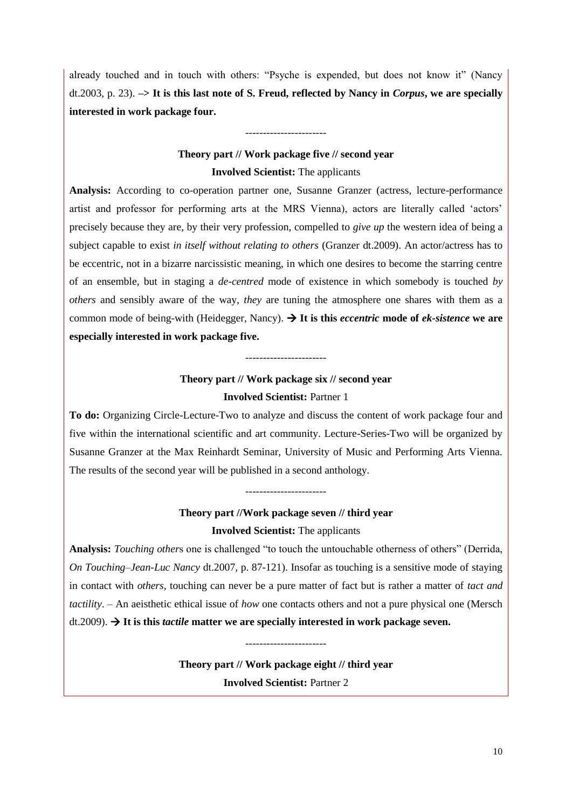already touched and in touch with others: "Psyche is expended, but does not know it" (Nancy dt.2003, p. 23). **–> It is this last note of S. Freud, reflected by Nancy in** *Corpus***, we are specially interested in work package four.**

# **Theory part // Work package five // second year Involved Scientist:** The applicants

-----------------------

**Analysis:** According to co-operation partner one, Susanne Granzer (actress, lecture-performance artist and professor for performing arts at the MRS Vienna), actors are literally called "actors" precisely because they are, by their very profession, compelled to *give up* the western idea of being a subject capable to exist *in itself without relating to others* (Granzer dt.2009). An actor/actress has to be eccentric, not in a bizarre narcissistic meaning, in which one desires to become the starring centre of an ensemble, but in staging a *de-centred* mode of existence in which somebody is touched *by others* and sensibly aware of the way, *they* are tuning the atmosphere one shares with them as a common mode of being-with (Heidegger, Nancy). **It is this** *eccentric* **mode of** *ek-sistence* **we are especially interested in work package five.**

# **Theory part // Work package six // second year Involved Scientist:** Partner 1

-----------------------

**To do:** Organizing Circle-Lecture-Two to analyze and discuss the content of work package four and five within the international scientific and art community. Lecture-Series-Two will be organized by Susanne Granzer at the Max Reinhardt Seminar, University of Music and Performing Arts Vienna. The results of the second year will be published in a second anthology.

# **Theory part //Work package seven // third year Involved Scientist:** The applicants

-----------------------

**Analysis:** *Touching other*s one is challenged "to touch the untouchable otherness of others" (Derrida, *On Touching–Jean-Luc Nancy* dt.2007, p. 87-121). Insofar as touching is a sensitive mode of staying in contact with *others*, touching can never be a pure matter of fact but is rather a matter of *tact and tactility*. – An aeisthetic ethical issue of *how* one contacts others and not a pure physical one (Mersch dt.2009). **It is this** *tactile* **matter we are specially interested in work package seven.** 

> **Theory part // Work package eight // third year Involved Scientist:** Partner 2

-----------------------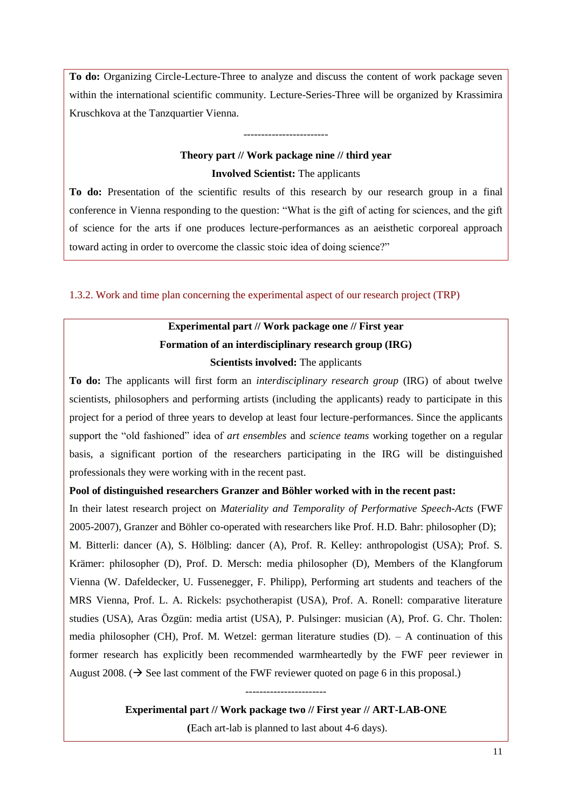**To do:** Organizing Circle-Lecture-Three to analyze and discuss the content of work package seven within the international scientific community. Lecture-Series-Three will be organized by Krassimira Kruschkova at the Tanzquartier Vienna.

# **Theory part // Work package nine // third year Involved Scientist:** The applicants

------------------------

**To do:** Presentation of the scientific results of this research by our research group in a final conference in Vienna responding to the question: "What is the gift of acting for sciences, and the gift of science for the arts if one produces lecture-performances as an aeisthetic corporeal approach toward acting in order to overcome the classic stoic idea of doing science?"

1.3.2. Work and time plan concerning the experimental aspect of our research project (TRP)

# **Experimental part // Work package one // First year Formation of an interdisciplinary research group (IRG) Scientists involved:** The applicants

**To do:** The applicants will first form an *interdisciplinary research group* (IRG) of about twelve scientists, philosophers and performing artists (including the applicants) ready to participate in this project for a period of three years to develop at least four lecture-performances. Since the applicants support the "old fashioned" idea of *art ensembles* and *science teams* working together on a regular basis, a significant portion of the researchers participating in the IRG will be distinguished professionals they were working with in the recent past.

# **Pool of distinguished researchers Granzer and Böhler worked with in the recent past:**

In their latest research project on *Materiality and Temporality of Performative Speech-Acts* (FWF 2005-2007), Granzer and Böhler co-operated with researchers like Prof. H.D. Bahr: philosopher (D); M. Bitterli: dancer (A), S. Hölbling: dancer (A), Prof. R. Kelley: anthropologist (USA); Prof. S. Krämer: philosopher (D), Prof. D. Mersch: media philosopher (D), Members of the Klangforum Vienna (W. Dafeldecker, U. Fussenegger, F. Philipp), Performing art students and teachers of the MRS Vienna, Prof. L. A. Rickels: psychotherapist (USA), Prof. A. Ronell: comparative literature studies (USA), Aras Özgün: media artist (USA), P. Pulsinger: musician (A), Prof. G. Chr. Tholen: media philosopher (CH), Prof. M. Wetzel: german literature studies  $(D)$ . – A continuation of this former research has explicitly been recommended warmheartedly by the FWF peer reviewer in August 2008. ( $\rightarrow$  See last comment of the FWF reviewer quoted on page 6 in this proposal.)

> ----------------------- **Experimental part // Work package two // First year // ART-LAB-ONE**

> > **(**Each art-lab is planned to last about 4-6 days).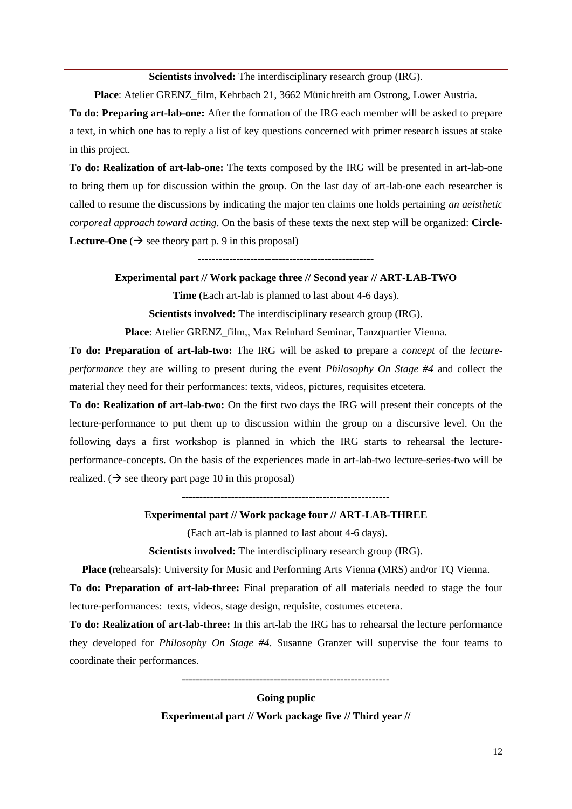# **Scientists involved:** The interdisciplinary research group (IRG).

**Place**: Atelier GRENZ\_film, Kehrbach 21, 3662 Münichreith am Ostrong, Lower Austria.

**To do: Preparing art-lab-one:** After the formation of the IRG each member will be asked to prepare a text, in which one has to reply a list of key questions concerned with primer research issues at stake in this project.

**To do: Realization of art-lab-one:** The texts composed by the IRG will be presented in art-lab-one to bring them up for discussion within the group. On the last day of art-lab-one each researcher is called to resume the discussions by indicating the major ten claims one holds pertaining *an aeisthetic corporeal approach toward acting*. On the basis of these texts the next step will be organized: **Circle-Lecture-One**  $(\rightarrow)$  see theory part p. 9 in this proposal)

--------------------------------------------------

**Experimental part // Work package three // Second year // ART-LAB-TWO**

**Time (**Each art-lab is planned to last about 4-6 days).

**Scientists involved:** The interdisciplinary research group (IRG).

**Place**: Atelier GRENZ\_film,, Max Reinhard Seminar, Tanzquartier Vienna.

**To do: Preparation of art-lab-two:** The IRG will be asked to prepare a *concept* of the *lectureperformance* they are willing to present during the event *Philosophy On Stage #4* and collect the material they need for their performances: texts, videos, pictures, requisites etcetera.

**To do: Realization of art-lab-two:** On the first two days the IRG will present their concepts of the lecture-performance to put them up to discussion within the group on a discursive level. On the following days a first workshop is planned in which the IRG starts to rehearsal the lectureperformance-concepts. On the basis of the experiences made in art-lab-two lecture-series-two will be realized. ( $\rightarrow$  see theory part page 10 in this proposal)

-----------------------------------------------------------

# **Experimental part // Work package four // ART-LAB-THREE**

**(**Each art-lab is planned to last about 4-6 days).

**Scientists involved:** The interdisciplinary research group (IRG).

**Place (**rehearsals**)**: University for Music and Performing Arts Vienna (MRS) and/or TQ Vienna.

**To do: Preparation of art-lab-three:** Final preparation of all materials needed to stage the four lecture-performances: texts, videos, stage design, requisite, costumes etcetera.

**To do: Realization of art-lab-three:** In this art-lab the IRG has to rehearsal the lecture performance they developed for *Philosophy On Stage #4*. Susanne Granzer will supervise the four teams to coordinate their performances.

-----------------------------------------------------------

**Going puplic**

**Experimental part // Work package five // Third year //**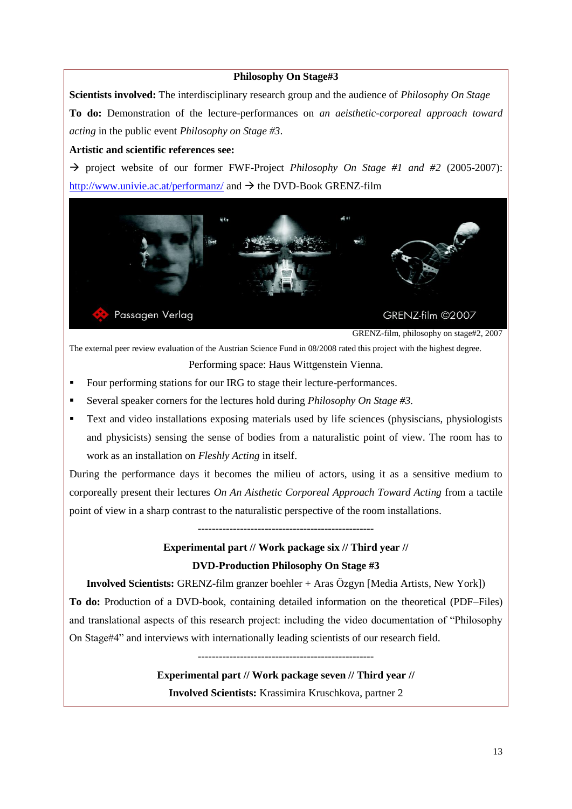# **Philosophy On Stage#3**

**Scientists involved:** The interdisciplinary research group and the audience of *Philosophy On Stage* **To do:** Demonstration of the lecture-performances on *an aeisthetic-corporeal approach toward acting* in the public event *Philosophy on Stage #3*.

# **Artistic and scientific references see:**

 $\rightarrow$  project website of our former FWF-Project *Philosophy On Stage #1 and #2* (2005-2007): <http://www.univie.ac.at/performanz/> and  $\rightarrow$  the DVD-Book GRENZ-film



GRENZ-film, philosophy on stage#2, 2007

The external peer review evaluation of the Austrian Science Fund in 08/2008 rated this project with the highest degree. Performing space: Haus Wittgenstein Vienna.

- Four performing stations for our IRG to stage their lecture-performances.
- Several speaker corners for the lectures hold during *Philosophy On Stage #3.*
- Text and video installations exposing materials used by life sciences (physiscians, physiologists and physicists) sensing the sense of bodies from a naturalistic point of view. The room has to work as an installation on *Fleshly Acting* in itself.

During the performance days it becomes the milieu of actors, using it as a sensitive medium to corporeally present their lectures *On An Aisthetic Corporeal Approach Toward Acting* from a tactile point of view in a sharp contrast to the naturalistic perspective of the room installations.

--------------------------------------------------

# **Experimental part // Work package six // Third year // DVD-Production Philosophy On Stage #3**

**Involved Scientists:** GRENZ-film granzer boehler + Aras Özgyn [Media Artists, New York]) **To do:** Production of a DVD-book, containing detailed information on the theoretical (PDF–Files) and translational aspects of this research project: including the video documentation of "Philosophy On Stage#4" and interviews with internationally leading scientists of our research field.

> -------------------------------------------------- **Experimental part // Work package seven // Third year // Involved Scientists:** Krassimira Kruschkova, partner 2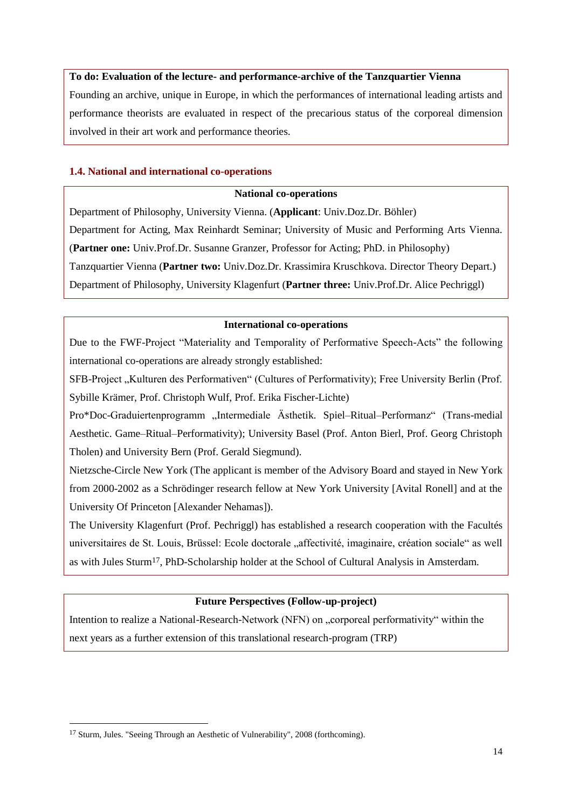# **To do: Evaluation of the lecture- and performance-archive of the Tanzquartier Vienna**

Founding an archive, unique in Europe, in which the performances of international leading artists and performance theorists are evaluated in respect of the precarious status of the corporeal dimension involved in their art work and performance theories.

# **1.4. National and international co-operations**

# **National co-operations**

Department of Philosophy, University Vienna. (**Applicant**: Univ.Doz.Dr. Böhler) Department for Acting, Max Reinhardt Seminar; University of Music and Performing Arts Vienna. (**Partner one:** Univ.Prof.Dr. Susanne Granzer, Professor for Acting; PhD. in Philosophy) Tanzquartier Vienna (**Partner two:** Univ.Doz.Dr. Krassimira Kruschkova. Director Theory Depart.) Department of Philosophy, University Klagenfurt (**Partner three:** Univ.Prof.Dr. Alice Pechriggl)

# **International co-operations**

Due to the FWF-Project "Materiality and Temporality of Performative Speech-Acts" the following international co-operations are already strongly established:

SFB-Project "Kulturen des Performativen" (Cultures of Performativity); Free University Berlin (Prof. Sybille Krämer, Prof. Christoph Wulf, Prof. Erika Fischer-Lichte)

Pro\*Doc-Graduiertenprogramm "Intermediale Ästhetik. Spiel–Ritual–Performanz" (Trans-medial Aesthetic. Game–Ritual–Performativity); University Basel (Prof. Anton Bierl, Prof. Georg Christoph Tholen) and University Bern (Prof. Gerald Siegmund).

Nietzsche-Circle New York (The applicant is member of the Advisory Board and stayed in New York from 2000-2002 as a Schrödinger research fellow at New York University [Avital Ronell] and at the University Of Princeton [Alexander Nehamas]).

The University Klagenfurt (Prof. Pechriggl) has established a research cooperation with the Facultés universitaires de St. Louis, Brüssel: Ecole doctorale "affectivité, imaginaire, création sociale" as well as with Jules Sturm17, PhD-Scholarship holder at the School of Cultural Analysis in Amsterdam.

# **Future Perspectives (Follow-up-project)**

Intention to realize a National-Research-Network (NFN) on "corporeal performativity" within the next years as a further extension of this translational research-program (TRP)

l

<sup>17</sup> Sturm, Jules. "Seeing Through an Aesthetic of Vulnerability", 2008 (forthcoming).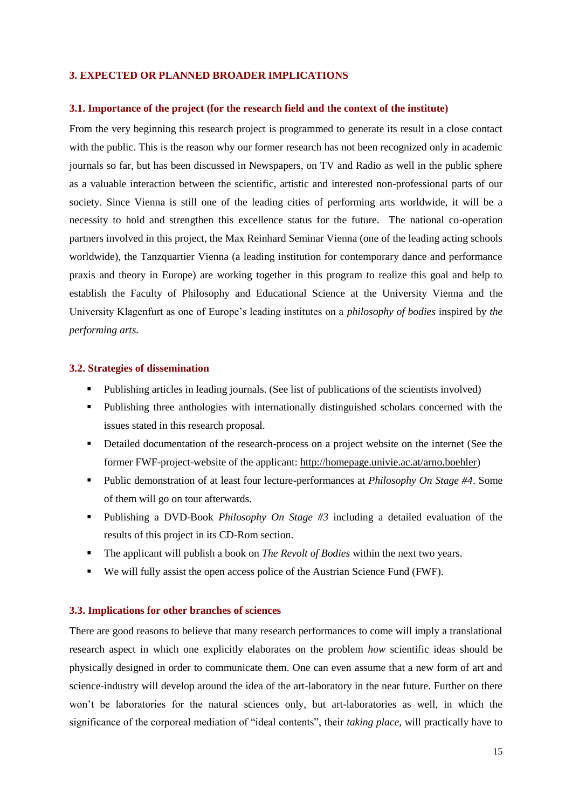#### **3. EXPECTED OR PLANNED BROADER IMPLICATIONS**

#### **3.1. Importance of the project (for the research field and the context of the institute)**

From the very beginning this research project is programmed to generate its result in a close contact with the public. This is the reason why our former research has not been recognized only in academic journals so far, but has been discussed in Newspapers, on TV and Radio as well in the public sphere as a valuable interaction between the scientific, artistic and interested non-professional parts of our society. Since Vienna is still one of the leading cities of performing arts worldwide, it will be a necessity to hold and strengthen this excellence status for the future. The national co-operation partners involved in this project, the Max Reinhard Seminar Vienna (one of the leading acting schools worldwide), the Tanzquartier Vienna (a leading institution for contemporary dance and performance praxis and theory in Europe) are working together in this program to realize this goal and help to establish the Faculty of Philosophy and Educational Science at the University Vienna and the University Klagenfurt as one of Europe"s leading institutes on a *philosophy of bodies* inspired by *the performing arts.*

#### **3.2. Strategies of dissemination**

- Publishing articles in leading journals. (See list of publications of the scientists involved)
- Publishing three anthologies with internationally distinguished scholars concerned with the issues stated in this research proposal.
- Detailed documentation of the research-process on a project website on the internet (See the former FWF-project-website of the applicant: [http://homepage.univie.ac.at/arno.boehler\)](http://homepage.univie.ac.at/arno.boehler)
- Public demonstration of at least four lecture-performances at *Philosophy On Stage #4*. Some of them will go on tour afterwards.
- Publishing a DVD-Book *Philosophy On Stage #3* including a detailed evaluation of the results of this project in its CD-Rom section.
- The applicant will publish a book on *The Revolt of Bodies* within the next two years.
- We will fully assist the open access police of the Austrian Science Fund (FWF).

## **3.3. Implications for other branches of sciences**

There are good reasons to believe that many research performances to come will imply a translational research aspect in which one explicitly elaborates on the problem *how* scientific ideas should be physically designed in order to communicate them. One can even assume that a new form of art and science-industry will develop around the idea of the art-laboratory in the near future. Further on there won"t be laboratories for the natural sciences only, but art-laboratories as well, in which the significance of the corporeal mediation of "ideal contents", their *taking place*, will practically have to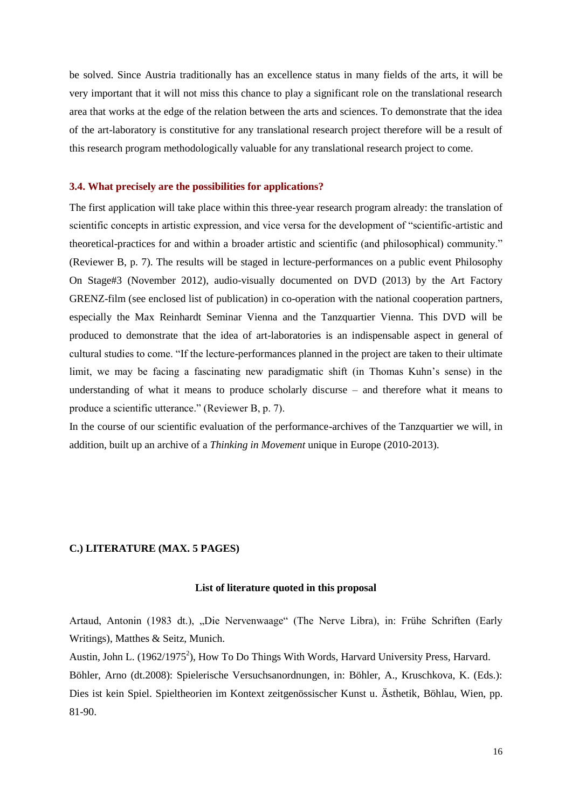be solved. Since Austria traditionally has an excellence status in many fields of the arts, it will be very important that it will not miss this chance to play a significant role on the translational research area that works at the edge of the relation between the arts and sciences. To demonstrate that the idea of the art-laboratory is constitutive for any translational research project therefore will be a result of this research program methodologically valuable for any translational research project to come.

#### **3.4. What precisely are the possibilities for applications?**

The first application will take place within this three-year research program already: the translation of scientific concepts in artistic expression, and vice versa for the development of "scientific-artistic and theoretical-practices for and within a broader artistic and scientific (and philosophical) community." (Reviewer B, p. 7). The results will be staged in lecture-performances on a public event Philosophy On Stage#3 (November 2012), audio-visually documented on DVD (2013) by the Art Factory GRENZ-film (see enclosed list of publication) in co-operation with the national cooperation partners, especially the Max Reinhardt Seminar Vienna and the Tanzquartier Vienna. This DVD will be produced to demonstrate that the idea of art-laboratories is an indispensable aspect in general of cultural studies to come. "If the lecture-performances planned in the project are taken to their ultimate limit, we may be facing a fascinating new paradigmatic shift (in Thomas Kuhn"s sense) in the understanding of what it means to produce scholarly discurse – and therefore what it means to produce a scientific utterance." (Reviewer B, p. 7).

In the course of our scientific evaluation of the performance-archives of the Tanzquartier we will, in addition, built up an archive of a *Thinking in Movement* unique in Europe (2010-2013).

# **C.) LITERATURE (MAX. 5 PAGES)**

#### **List of literature quoted in this proposal**

Artaud, Antonin (1983 dt.), "Die Nervenwaage" (The Nerve Libra), in: Frühe Schriften (Early Writings), Matthes & Seitz, Munich.

Austin, John L. (1962/1975<sup>2</sup>), How To Do Things With Words, Harvard University Press, Harvard. Böhler, Arno (dt.2008): Spielerische Versuchsanordnungen, in: Böhler, A., Kruschkova, K. (Eds.): Dies ist kein Spiel. Spieltheorien im Kontext zeitgenössischer Kunst u. Ästhetik, Böhlau, Wien, pp. 81-90.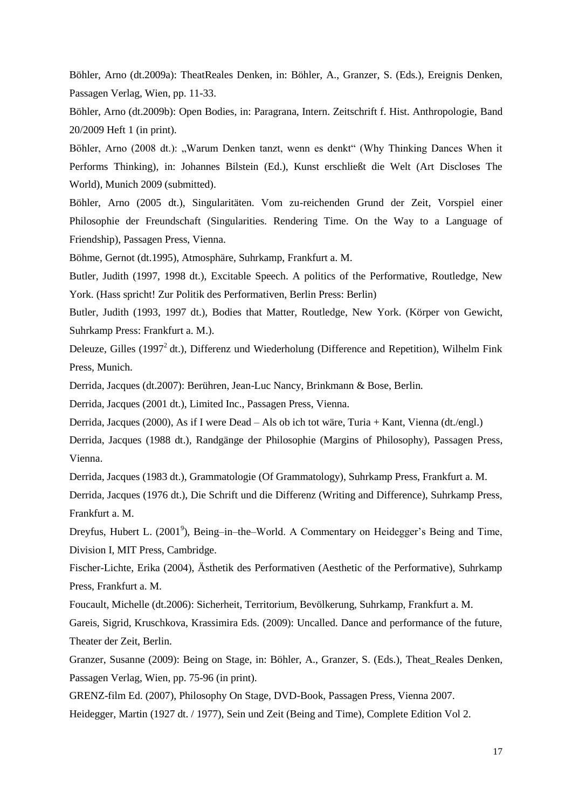Böhler, Arno (dt.2009a): TheatReales Denken, in: Böhler, A., Granzer, S. (Eds.), Ereignis Denken, Passagen Verlag, Wien, pp. 11-33.

Böhler, Arno (dt.2009b): Open Bodies, in: Paragrana, Intern. Zeitschrift f. Hist. Anthropologie, Band 20/2009 Heft 1 (in print).

Böhler, Arno (2008 dt.): "Warum Denken tanzt, wenn es denkt" (Why Thinking Dances When it Performs Thinking), in: Johannes Bilstein (Ed.), Kunst erschließt die Welt (Art Discloses The World), Munich 2009 (submitted).

Böhler, Arno (2005 dt.), Singularitäten. Vom zu-reichenden Grund der Zeit, Vorspiel einer Philosophie der Freundschaft (Singularities. Rendering Time. On the Way to a Language of Friendship), Passagen Press, Vienna.

Böhme, Gernot (dt.1995), Atmosphäre, Suhrkamp, Frankfurt a. M.

Butler, Judith (1997, 1998 dt.), Excitable Speech. A politics of the Performative, Routledge, New York. (Hass spricht! Zur Politik des Performativen, Berlin Press: Berlin)

Butler, Judith (1993, 1997 dt.), Bodies that Matter, Routledge, New York. (Körper von Gewicht, Suhrkamp Press: Frankfurt a. M.).

Deleuze, Gilles (1997<sup>2</sup> dt.), Differenz und Wiederholung (Difference and Repetition), Wilhelm Fink Press, Munich.

Derrida, Jacques (dt.2007): Berühren, Jean-Luc Nancy, Brinkmann & Bose, Berlin.

Derrida, Jacques (2001 dt.), Limited Inc., Passagen Press, Vienna.

Derrida, Jacques (2000), As if I were Dead – Als ob ich tot wäre, Turia + Kant, Vienna (dt./engl.)

Derrida, Jacques (1988 dt.), Randgänge der Philosophie (Margins of Philosophy), Passagen Press, Vienna.

Derrida, Jacques (1983 dt.), Grammatologie (Of Grammatology), Suhrkamp Press, Frankfurt a. M.

Derrida, Jacques (1976 dt.), Die Schrift und die Differenz (Writing and Difference), Suhrkamp Press, Frankfurt a. M.

Dreyfus, Hubert L. (2001<sup>9</sup>), Being–in–the–World. A Commentary on Heidegger's Being and Time, Division I, MIT Press, Cambridge.

Fischer-Lichte, Erika (2004), Ästhetik des Performativen (Aesthetic of the Performative), Suhrkamp Press, Frankfurt a. M.

Foucault, Michelle (dt.2006): Sicherheit, Territorium, Bevölkerung, Suhrkamp, Frankfurt a. M.

Gareis, Sigrid, Kruschkova, Krassimira Eds. (2009): Uncalled. Dance and performance of the future, Theater der Zeit, Berlin.

Granzer, Susanne (2009): Being on Stage, in: Böhler, A., Granzer, S. (Eds.), Theat\_Reales Denken, Passagen Verlag, Wien, pp. 75-96 (in print).

GRENZ-film Ed. (2007), Philosophy On Stage, DVD-Book, Passagen Press, Vienna 2007.

Heidegger, Martin (1927 dt. / 1977), Sein und Zeit (Being and Time), Complete Edition Vol 2.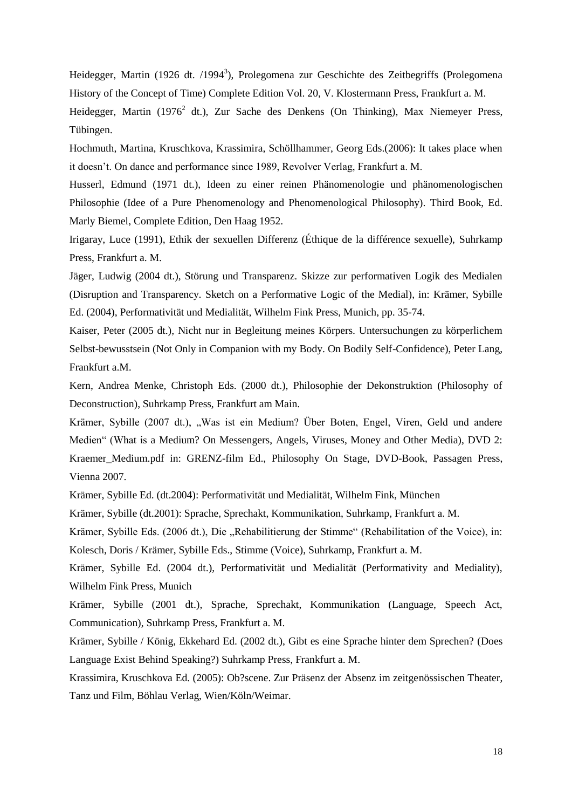Heidegger, Martin (1926 dt. /1994<sup>3</sup>), Prolegomena zur Geschichte des Zeitbegriffs (Prolegomena History of the Concept of Time) Complete Edition Vol. 20, V. Klostermann Press, Frankfurt a. M.

Heidegger, Martin (1976<sup>2</sup> dt.), Zur Sache des Denkens (On Thinking), Max Niemeyer Press, Tübingen.

Hochmuth, Martina, Kruschkova, Krassimira, Schöllhammer, Georg Eds.(2006): It takes place when it doesn"t. On dance and performance since 1989, Revolver Verlag, Frankfurt a. M.

Husserl, Edmund (1971 dt.), Ideen zu einer reinen Phänomenologie und phänomenologischen Philosophie (Idee of a Pure Phenomenology and Phenomenological Philosophy). Third Book, Ed. Marly Biemel, Complete Edition, Den Haag 1952.

Irigaray, Luce (1991), Ethik der sexuellen Differenz (Éthique de la différence sexuelle), Suhrkamp Press, Frankfurt a. M.

Jäger, Ludwig (2004 dt.), Störung und Transparenz. Skizze zur performativen Logik des Medialen (Disruption and Transparency. Sketch on a Performative Logic of the Medial), in: Krämer, Sybille Ed. (2004), Performativität und Medialität, Wilhelm Fink Press, Munich, pp. 35-74.

Kaiser, Peter (2005 dt.), Nicht nur in Begleitung meines Körpers. Untersuchungen zu körperlichem Selbst-bewusstsein (Not Only in Companion with my Body. On Bodily Self-Confidence), Peter Lang, Frankfurt a.M.

Kern, Andrea Menke, Christoph Eds. (2000 dt.), Philosophie der Dekonstruktion (Philosophy of Deconstruction), Suhrkamp Press, Frankfurt am Main.

Krämer, Sybille (2007 dt.), "Was ist ein Medium? Über Boten, Engel, Viren, Geld und andere Medien" (What is a Medium? On Messengers, Angels, Viruses, Money and Other Media), DVD 2: Kraemer\_Medium.pdf in: GRENZ-film Ed., Philosophy On Stage, DVD-Book, Passagen Press, Vienna 2007.

Krämer, Sybille Ed. (dt.2004): Performativität und Medialität, Wilhelm Fink, München

Krämer, Sybille (dt.2001): Sprache, Sprechakt, Kommunikation, Suhrkamp, Frankfurt a. M.

Krämer, Sybille Eds. (2006 dt.), Die "Rehabilitierung der Stimme" (Rehabilitation of the Voice), in: Kolesch, Doris / Krämer, Sybille Eds., Stimme (Voice), Suhrkamp, Frankfurt a. M.

Krämer, Sybille Ed. (2004 dt.), Performativität und Medialität (Performativity and Mediality), Wilhelm Fink Press, Munich

Krämer, Sybille (2001 dt.), Sprache, Sprechakt, Kommunikation (Language, Speech Act, Communication), Suhrkamp Press, Frankfurt a. M.

Krämer, Sybille / König, Ekkehard Ed. (2002 dt.), Gibt es eine Sprache hinter dem Sprechen? (Does Language Exist Behind Speaking?) Suhrkamp Press, Frankfurt a. M.

Krassimira, Kruschkova Ed. (2005): Ob?scene. Zur Präsenz der Absenz im zeitgenössischen Theater, Tanz und Film, Böhlau Verlag, Wien/Köln/Weimar.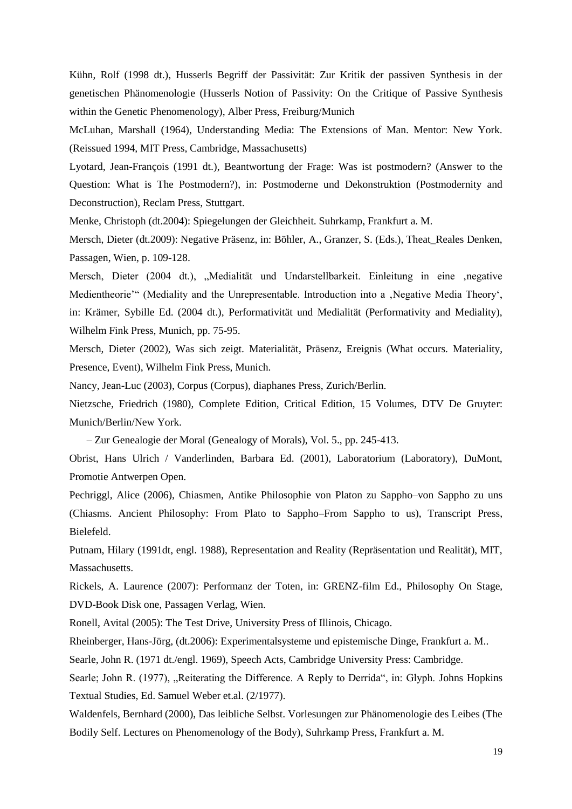Kühn, Rolf (1998 dt.), Husserls Begriff der Passivität: Zur Kritik der passiven Synthesis in der genetischen Phänomenologie (Husserls Notion of Passivity: On the Critique of Passive Synthesis within the Genetic Phenomenology), Alber Press, Freiburg/Munich

McLuhan, Marshall (1964), Understanding Media: The Extensions of Man. Mentor: New York. (Reissued 1994, MIT Press, Cambridge, Massachusetts)

Lyotard, Jean-François (1991 dt.), Beantwortung der Frage: Was ist postmodern? (Answer to the Question: What is The Postmodern?), in: Postmoderne und Dekonstruktion (Postmodernity and Deconstruction), Reclam Press, Stuttgart.

Menke, Christoph (dt.2004): Spiegelungen der Gleichheit. Suhrkamp, Frankfurt a. M.

Mersch, Dieter (dt.2009): Negative Präsenz, in: Böhler, A., Granzer, S. (Eds.), Theat\_Reales Denken, Passagen, Wien, p. 109-128.

Mersch, Dieter (2004 dt.), "Medialität und Undarstellbarkeit. Einleitung in eine "negative Medientheorie<sup>21</sup> (Mediality and the Unrepresentable. Introduction into a , Negative Media Theory', in: Krämer, Sybille Ed. (2004 dt.), Performativität und Medialität (Performativity and Mediality), Wilhelm Fink Press, Munich, pp. 75-95.

Mersch, Dieter (2002), Was sich zeigt. Materialität, Präsenz, Ereignis (What occurs. Materiality, Presence, Event), Wilhelm Fink Press, Munich.

Nancy, Jean-Luc (2003), Corpus (Corpus), diaphanes Press, Zurich/Berlin.

Nietzsche, Friedrich (1980), Complete Edition, Critical Edition, 15 Volumes, DTV De Gruyter: Munich/Berlin/New York.

– Zur Genealogie der Moral (Genealogy of Morals), Vol. 5., pp. 245-413.

Obrist, Hans Ulrich / Vanderlinden, Barbara Ed. (2001), Laboratorium (Laboratory), DuMont, Promotie Antwerpen Open.

Pechriggl, Alice (2006), Chiasmen, Antike Philosophie von Platon zu Sappho–von Sappho zu uns (Chiasms. Ancient Philosophy: From Plato to Sappho–From Sappho to us), Transcript Press, Bielefeld.

Putnam, Hilary (1991dt, engl. 1988), Representation and Reality (Repräsentation und Realität), MIT, Massachusetts.

Rickels, A. Laurence (2007): Performanz der Toten, in: GRENZ-film Ed., Philosophy On Stage, DVD-Book Disk one, Passagen Verlag, Wien.

Ronell, Avital (2005): The Test Drive, University Press of Illinois, Chicago.

Rheinberger, Hans-Jörg, (dt.2006): Experimentalsysteme und epistemische Dinge, Frankfurt a. M..

Searle, John R. (1971 dt./engl. 1969), Speech Acts, Cambridge University Press: Cambridge.

Searle; John R. (1977), "Reiterating the Difference. A Reply to Derrida", in: Glyph. Johns Hopkins Textual Studies, Ed. Samuel Weber et.al. (2/1977).

Waldenfels, Bernhard (2000), Das leibliche Selbst. Vorlesungen zur Phänomenologie des Leibes (The Bodily Self. Lectures on Phenomenology of the Body), Suhrkamp Press, Frankfurt a. M.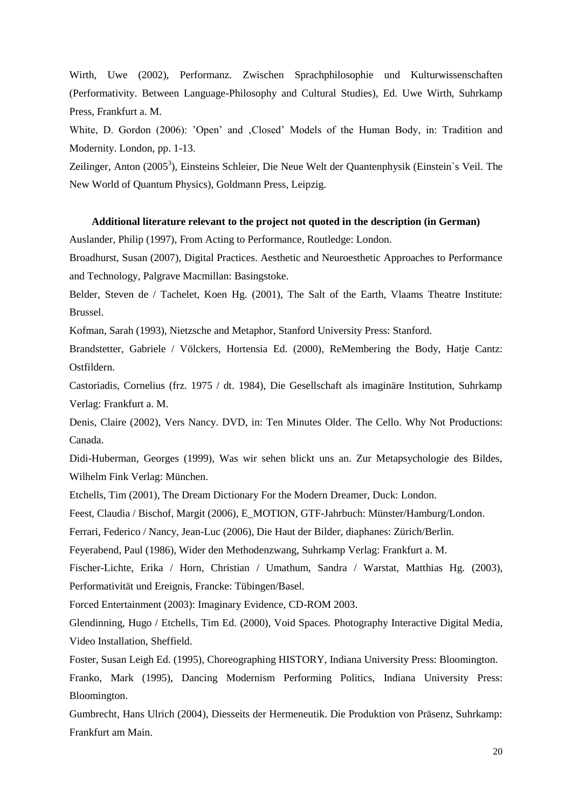Wirth, Uwe (2002), Performanz. Zwischen Sprachphilosophie und Kulturwissenschaften (Performativity. Between Language-Philosophy and Cultural Studies), Ed. Uwe Wirth, Suhrkamp Press, Frankfurt a. M.

White, D. Gordon (2006): 'Open' and , Closed' Models of the Human Body, in: Tradition and Modernity. London, pp. 1-13.

Zeilinger, Anton (2005<sup>3</sup>), Einsteins Schleier, Die Neue Welt der Quantenphysik (Einstein`s Veil. The New World of Quantum Physics), Goldmann Press, Leipzig.

#### **Additional literature relevant to the project not quoted in the description (in German)**

Auslander, Philip (1997), From Acting to Performance, Routledge: London.

Broadhurst, Susan (2007), Digital Practices. Aesthetic and Neuroesthetic Approaches to Performance and Technology, Palgrave Macmillan: Basingstoke.

Belder, Steven de / Tachelet, Koen Hg. (2001), The Salt of the Earth, Vlaams Theatre Institute: Brussel.

Kofman, Sarah (1993), Nietzsche and Metaphor, Stanford University Press: Stanford.

Brandstetter, Gabriele / Völckers, Hortensia Ed. (2000), ReMembering the Body, Hatje Cantz: Ostfildern.

Castoriadis, Cornelius (frz. 1975 / dt. 1984), Die Gesellschaft als imaginäre Institution, Suhrkamp Verlag: Frankfurt a. M.

Denis, Claire (2002), Vers Nancy. DVD, in: Ten Minutes Older. The Cello. Why Not Productions: Canada.

Didi-Huberman, Georges (1999), Was wir sehen blickt uns an. Zur Metapsychologie des Bildes, Wilhelm Fink Verlag: München.

Etchells, Tim (2001), The Dream Dictionary For the Modern Dreamer, Duck: London.

Feest, Claudia / Bischof, Margit (2006), E\_MOTION, GTF-Jahrbuch: Münster/Hamburg/London.

Ferrari, Federico / Nancy, Jean-Luc (2006), Die Haut der Bilder, diaphanes: Zürich/Berlin.

Feyerabend, Paul (1986), Wider den Methodenzwang, Suhrkamp Verlag: Frankfurt a. M.

Fischer-Lichte, Erika / Horn, Christian / Umathum, Sandra / Warstat, Matthias Hg. (2003), Performativität und Ereignis, Francke: Tübingen/Basel.

Forced Entertainment (2003): Imaginary Evidence, CD-ROM 2003.

Glendinning, Hugo / Etchells, Tim Ed. (2000), Void Spaces. Photography Interactive Digital Media, Video Installation, Sheffield.

Foster, Susan Leigh Ed. (1995), Choreographing HISTORY, Indiana University Press: Bloomington.

Franko, Mark (1995), Dancing Modernism Performing Politics, Indiana University Press: Bloomington.

Gumbrecht, Hans Ulrich (2004), Diesseits der Hermeneutik. Die Produktion von Präsenz, Suhrkamp: Frankfurt am Main.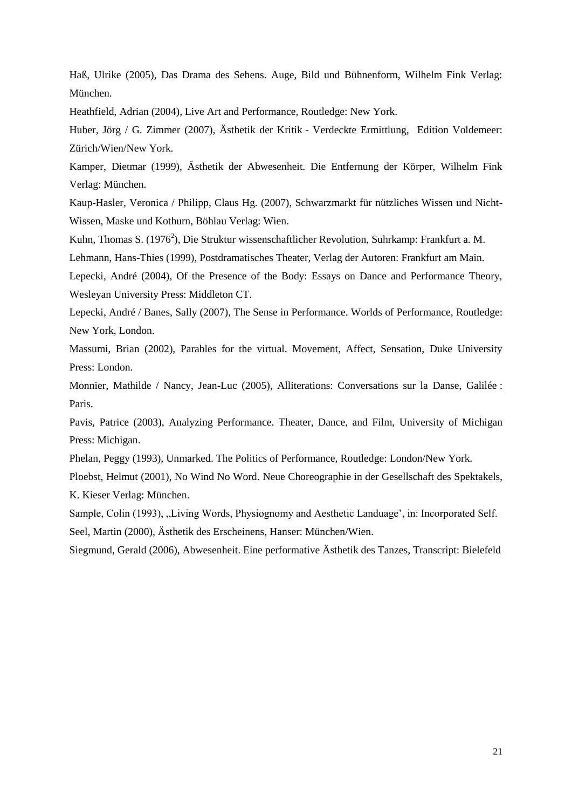Haß, Ulrike (2005), Das Drama des Sehens. Auge, Bild und Bühnenform, Wilhelm Fink Verlag: München.

Heathfield, Adrian (2004), Live Art and Performance, Routledge: New York.

Huber, Jörg / G. Zimmer (2007), Ästhetik der Kritik - Verdeckte Ermittlung, Edition Voldemeer: Zürich/Wien/New York.

Kamper, Dietmar (1999), Ästhetik der Abwesenheit. Die Entfernung der Körper, Wilhelm Fink Verlag: München.

Kaup-Hasler, Veronica / Philipp, Claus Hg. (2007), Schwarzmarkt für nützliches Wissen und Nicht-Wissen, Maske und Kothurn, Böhlau Verlag: Wien.

Kuhn, Thomas S. (1976<sup>2</sup>), Die Struktur wissenschaftlicher Revolution, Suhrkamp: Frankfurt a. M.

Lehmann, Hans-Thies (1999), Postdramatisches Theater, Verlag der Autoren: Frankfurt am Main.

Lepecki, André (2004), Of the Presence of the Body: Essays on Dance and Performance Theory, Wesleyan University Press: Middleton CT.

Lepecki, André / Banes, Sally (2007), The Sense in Performance. Worlds of Performance, Routledge: New York, London.

Massumi, Brian (2002), Parables for the virtual. Movement, Affect, Sensation, Duke University Press: London.

Monnier, Mathilde / Nancy, Jean-Luc (2005), Alliterations: Conversations sur la Danse, Galilée : Paris.

Pavis, Patrice (2003), Analyzing Performance. Theater, Dance, and Film, University of Michigan Press: Michigan.

Phelan, Peggy (1993), Unmarked. The Politics of Performance, Routledge: London/New York.

Ploebst, Helmut (2001), No Wind No Word. Neue Choreographie in der Gesellschaft des Spektakels, K. Kieser Verlag: München.

Sample, Colin (1993), "Living Words, Physiognomy and Aesthetic Landuage', in: Incorporated Self. Seel, Martin (2000), Ästhetik des Erscheinens, Hanser: München/Wien.

Siegmund, Gerald (2006), Abwesenheit. Eine performative Ästhetik des Tanzes, Transcript: Bielefeld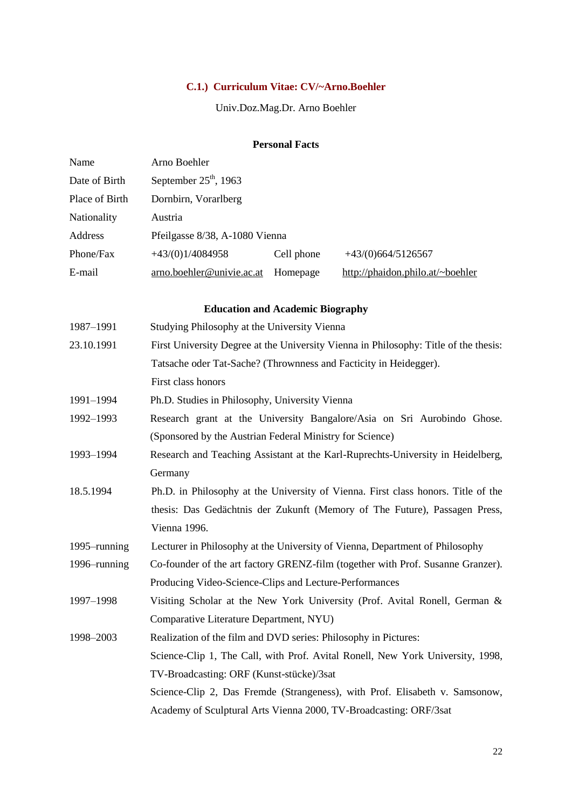# **C.1.) Curriculum Vitae: CV/~Arno.Boehler**

Univ.Doz.Mag.Dr. Arno Boehler

# **Personal Facts**

| Name           | Arno Boehler                                                                    |            |                                                                                      |
|----------------|---------------------------------------------------------------------------------|------------|--------------------------------------------------------------------------------------|
| Date of Birth  | September $25th$ , 1963                                                         |            |                                                                                      |
| Place of Birth | Dornbirn, Vorarlberg                                                            |            |                                                                                      |
| Nationality    | Austria                                                                         |            |                                                                                      |
| Address        | Pfeilgasse 8/38, A-1080 Vienna                                                  |            |                                                                                      |
| Phone/Fax      | $+43/(0)1/4084958$                                                              | Cell phone | $+43(0)664/5126567$                                                                  |
| E-mail         | arno.boehler@univie.ac.at                                                       | Homepage   | http://phaidon.philo.at/~boehler                                                     |
|                | <b>Education and Academic Biography</b>                                         |            |                                                                                      |
| 1987-1991      | Studying Philosophy at the University Vienna                                    |            |                                                                                      |
| 23.10.1991     |                                                                                 |            | First University Degree at the University Vienna in Philosophy: Title of the thesis: |
|                | Tatsache oder Tat-Sache? (Thrownness and Facticity in Heidegger).               |            |                                                                                      |
|                | First class honors                                                              |            |                                                                                      |
| 1991-1994      | Ph.D. Studies in Philosophy, University Vienna                                  |            |                                                                                      |
| 1992-1993      | Research grant at the University Bangalore/Asia on Sri Aurobindo Ghose.         |            |                                                                                      |
|                | (Sponsored by the Austrian Federal Ministry for Science)                        |            |                                                                                      |
| 1993-1994      | Research and Teaching Assistant at the Karl-Ruprechts-University in Heidelberg, |            |                                                                                      |
|                | Germany                                                                         |            |                                                                                      |
| 18.5.1994      |                                                                                 |            | Ph.D. in Philosophy at the University of Vienna. First class honors. Title of the    |
|                |                                                                                 |            | thesis: Das Gedächtnis der Zukunft (Memory of The Future), Passagen Press,           |
|                | Vienna 1996.                                                                    |            |                                                                                      |
| 1995–running   |                                                                                 |            | Lecturer in Philosophy at the University of Vienna, Department of Philosophy         |
| 1996–running   | Co-founder of the art factory GRENZ-film (together with Prof. Susanne Granzer). |            |                                                                                      |
|                | Producing Video-Science-Clips and Lecture-Performances                          |            |                                                                                      |
| 1997-1998      |                                                                                 |            | Visiting Scholar at the New York University (Prof. Avital Ronell, German &           |
|                | Comparative Literature Department, NYU)                                         |            |                                                                                      |
| 1998-2003      | Realization of the film and DVD series: Philosophy in Pictures:                 |            |                                                                                      |
|                |                                                                                 |            | Science-Clip 1, The Call, with Prof. Avital Ronell, New York University, 1998,       |
|                | TV-Broadcasting: ORF (Kunst-stücke)/3sat                                        |            |                                                                                      |
|                |                                                                                 |            | Science-Clip 2, Das Fremde (Strangeness), with Prof. Elisabeth v. Samsonow,          |
|                |                                                                                 |            | Academy of Sculptural Arts Vienna 2000, TV-Broadcasting: ORF/3sat                    |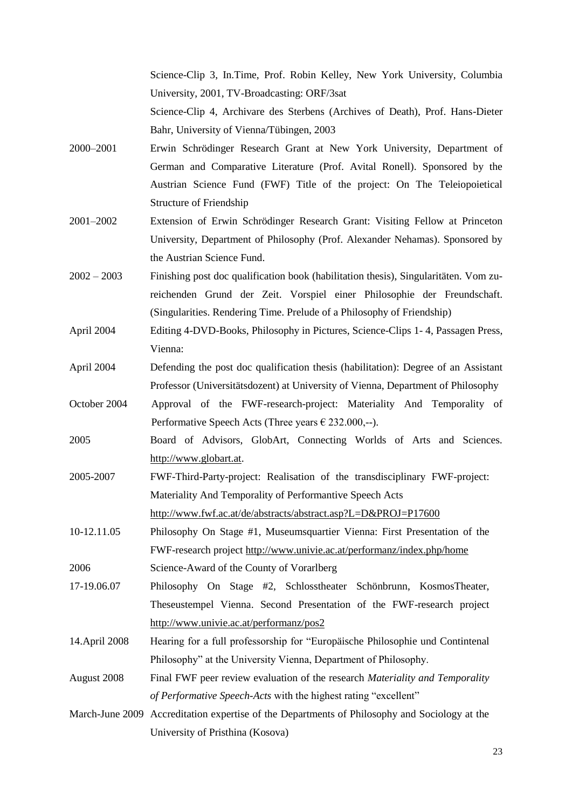Science-Clip 3, In.Time, Prof. Robin Kelley, New York University, Columbia University, 2001, TV-Broadcasting: ORF/3sat

Science-Clip 4, Archivare des Sterbens (Archives of Death), Prof. Hans-Dieter Bahr, University of Vienna/Tübingen, 2003

- 2000–2001 Erwin Schrödinger Research Grant at New York University, Department of German and Comparative Literature (Prof. Avital Ronell). Sponsored by the Austrian Science Fund (FWF) Title of the project: On The Teleiopoietical Structure of Friendship
- 2001–2002 Extension of Erwin Schrödinger Research Grant: Visiting Fellow at Princeton University, Department of Philosophy (Prof. Alexander Nehamas). Sponsored by the Austrian Science Fund.
- 2002 2003 Finishing post doc qualification book (habilitation thesis), Singularitäten. Vom zureichenden Grund der Zeit. Vorspiel einer Philosophie der Freundschaft. (Singularities. Rendering Time. Prelude of a Philosophy of Friendship)
- April 2004 Editing 4-DVD-Books, Philosophy in Pictures, Science-Clips 1- 4, Passagen Press, Vienna:
- April 2004 Defending the post doc qualification thesis (habilitation): Degree of an Assistant Professor (Universitätsdozent) at University of Vienna, Department of Philosophy
- October 2004 Approval of the FWF-research-project: Materiality And Temporality of Performative Speech Acts (Three years  $\epsilon$  232.000,--).
- 2005 Board of Advisors, GlobArt, Connecting Worlds of Arts and Sciences. [http://www.globart.at.](http://www.globart.at/)
- 2005-2007 FWF-Third-Party-project: Realisation of the transdisciplinary FWF-project: Materiality And Temporality of Performantive Speech Acts <http://www.fwf.ac.at/de/abstracts/abstract.asp?L=D&PROJ=P17600>
- 10-12.11.05 Philosophy On Stage #1, Museumsquartier Vienna: First Presentation of the FWF-research project<http://www.univie.ac.at/performanz/index.php/home> 2006 Science-Award of the County of Vorarlberg
- 17-19.06.07 Philosophy On Stage #2, Schlosstheater Schönbrunn, KosmosTheater, Theseustempel Vienna. Second Presentation of the FWF-research project <http://www.univie.ac.at/performanz/pos2>
- 14.April 2008 Hearing for a full professorship for "Europäische Philosophie und Contintenal Philosophy" at the University Vienna, Department of Philosophy.
- August 2008 Final FWF peer review evaluation of the research *Materiality and Temporality of Performative Speech-Acts* with the highest rating "excellent"
- March-June 2009 Accreditation expertise of the Departments of Philosophy and Sociology at the University of Pristhina (Kosova)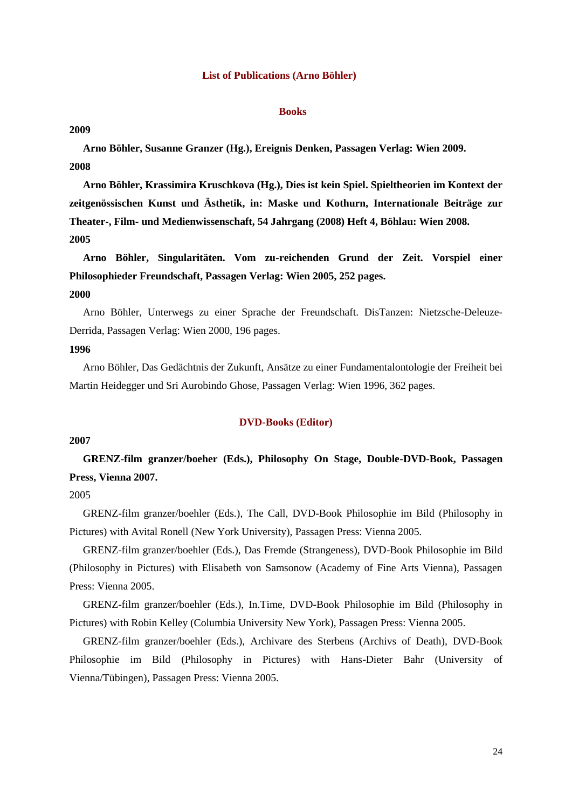#### **List of Publications (Arno Böhler)**

#### **Books**

#### **2009**

**Arno Böhler, Susanne Granzer (Hg.), Ereignis Denken, Passagen Verlag: Wien 2009. 2008**

**Arno Böhler, Krassimira Kruschkova (Hg.), Dies ist kein Spiel. Spieltheorien im Kontext der zeitgenössischen Kunst und Ästhetik, in: Maske und Kothurn, Internationale Beiträge zur Theater-, Film- und Medienwissenschaft, 54 Jahrgang (2008) Heft 4, Böhlau: Wien 2008. 2005**

**Arno Böhler, Singularitäten. Vom zu-reichenden Grund der Zeit. Vorspiel einer Philosophieder Freundschaft, Passagen Verlag: Wien 2005, 252 pages. 2000**

Arno Böhler, Unterwegs zu einer Sprache der Freundschaft. DisTanzen: Nietzsche-Deleuze-Derrida, Passagen Verlag: Wien 2000, 196 pages.

# **1996**

Arno Böhler, Das Gedächtnis der Zukunft, Ansätze zu einer Fundamentalontologie der Freiheit bei Martin Heidegger und Sri Aurobindo Ghose, Passagen Verlag: Wien 1996, 362 pages.

#### **DVD-Books (Editor)**

### **2007**

**GRENZ-film granzer/boeher (Eds.), Philosophy On Stage, Double-DVD-Book, Passagen Press, Vienna 2007.**

# 2005

GRENZ-film granzer/boehler (Eds.), The Call, DVD-Book Philosophie im Bild (Philosophy in Pictures) with Avital Ronell (New York University), Passagen Press: Vienna 2005.

GRENZ-film granzer/boehler (Eds.), Das Fremde (Strangeness), DVD-Book Philosophie im Bild (Philosophy in Pictures) with Elisabeth von Samsonow (Academy of Fine Arts Vienna), Passagen Press: Vienna 2005.

GRENZ-film granzer/boehler (Eds.), In.Time, DVD-Book Philosophie im Bild (Philosophy in Pictures) with Robin Kelley (Columbia University New York), Passagen Press: Vienna 2005.

GRENZ-film granzer/boehler (Eds.), Archivare des Sterbens (Archivs of Death), DVD-Book Philosophie im Bild (Philosophy in Pictures) with Hans-Dieter Bahr (University of Vienna/Tübingen), Passagen Press: Vienna 2005.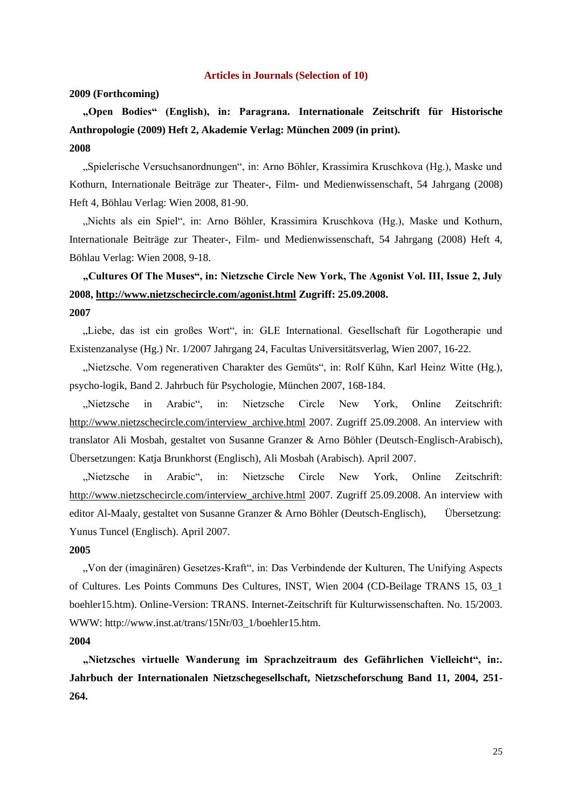#### **Articles in Journals (Selection of 10)**

#### **2009 (Forthcoming)**

**"Open Bodies" (English), in: Paragrana. Internationale Zeitschrift für Historische Anthropologie (2009) Heft 2, Akademie Verlag: München 2009 (in print). 2008**

"Spielerische Versuchsanordnungen", in: Arno Böhler, Krassimira Kruschkova (Hg.), Maske und Kothurn, Internationale Beiträge zur Theater-, Film- und Medienwissenschaft, 54 Jahrgang (2008) Heft 4, Böhlau Verlag: Wien 2008, 81-90.

"Nichts als ein Spiel", in: Arno Böhler, Krassimira Kruschkova (Hg.), Maske und Kothurn, Internationale Beiträge zur Theater-, Film- und Medienwissenschaft, 54 Jahrgang (2008) Heft 4, Böhlau Verlag: Wien 2008, 9-18.

# **"Cultures Of The Muses", in: Nietzsche Circle New York, The Agonist Vol. III, Issue 2, July 2008,<http://www.nietzschecircle.com/agonist.html> Zugriff: 25.09.2008. 2007**

"Liebe, das ist ein großes Wort", in: GLE International. Gesellschaft für Logotherapie und Existenzanalyse (Hg.) Nr. 1/2007 Jahrgang 24, Facultas Universitätsverlag, Wien 2007, 16-22.

"Nietzsche. Vom regenerativen Charakter des Gemüts", in: Rolf Kühn, Karl Heinz Witte (Hg.), psycho-logik, Band 2. Jahrbuch für Psychologie, München 2007, 168-184.

"Nietzsche in Arabic", in: Nietzsche Circle New York, Online Zeitschrift: [http://www.nietzschecircle.com/interview\\_archive.html](http://www.nietzschecircle.com/interview_archive.html) 2007. Zugriff 25.09.2008. An interview with translator Ali Mosbah, gestaltet von Susanne Granzer & Arno Böhler (Deutsch-Englisch-Arabisch), Übersetzungen: Katja Brunkhorst (Englisch), Ali Mosbah (Arabisch). April 2007.

"Nietzsche in Arabic", in: Nietzsche Circle New York, Online Zeitschrift: [http://www.nietzschecircle.com/interview\\_archive.html](http://www.nietzschecircle.com/interview_archive.html) 2007. Zugriff 25.09.2008. An interview with editor Al-Maaly, gestaltet von Susanne Granzer & Arno Böhler (Deutsch-Englisch), Übersetzung: Yunus Tuncel (Englisch). April 2007.

#### **2005**

"Von der (imaginären) Gesetzes-Kraft", in: Das Verbindende der Kulturen, The Unifying Aspects of Cultures. Les Points Communs Des Cultures, INST, Wien 2004 (CD-Beilage TRANS 15, 03\_1 boehler15.htm). Online-Version: TRANS. Internet-Zeitschrift für Kulturwissenschaften. No. 15/2003. WWW: [http://www.inst.at/trans/15Nr/03\\_1/boehler15.htm.](http://www.inst.at/trans/15Nr/03_1/boehler15.htm)

#### **2004**

**"Nietzsches virtuelle Wanderung im Sprachzeitraum des Gefährlichen Vielleicht", in:. Jahrbuch der Internationalen Nietzschegesellschaft, Nietzscheforschung Band 11, 2004, 251- 264.**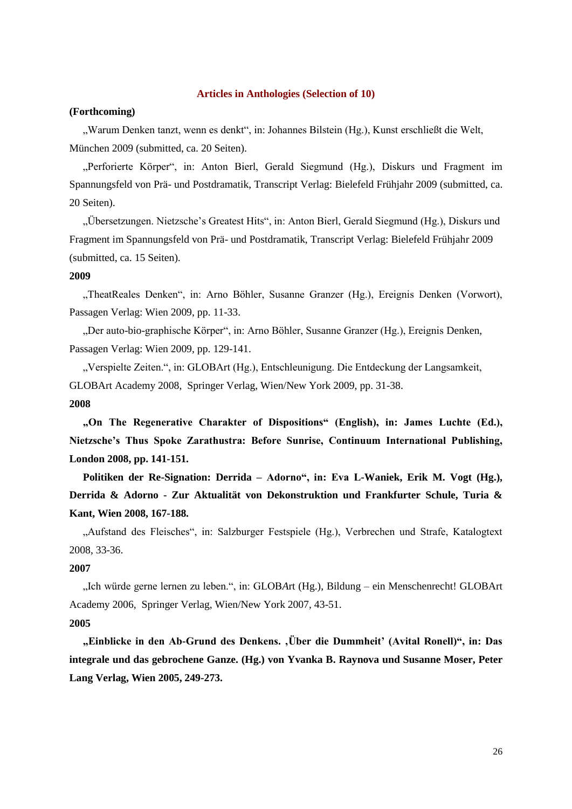# **Articles in Anthologies (Selection of 10)**

## **(Forthcoming)**

"Warum Denken tanzt, wenn es denkt", in: Johannes Bilstein (Hg.), Kunst erschließt die Welt, München 2009 (submitted, ca. 20 Seiten).

"Perforierte Körper", in: Anton Bierl, Gerald Siegmund (Hg.), Diskurs und Fragment im Spannungsfeld von Prä- und Postdramatik, Transcript Verlag: Bielefeld Frühjahr 2009 (submitted, ca. 20 Seiten).

"Übersetzungen. Nietzsche"s Greatest Hits", in: Anton Bierl, Gerald Siegmund (Hg.), Diskurs und Fragment im Spannungsfeld von Prä- und Postdramatik, Transcript Verlag: Bielefeld Frühjahr 2009 (submitted, ca. 15 Seiten).

### **2009**

"TheatReales Denken", in: Arno Böhler, Susanne Granzer (Hg.), Ereignis Denken (Vorwort), Passagen Verlag: Wien 2009, pp. 11-33.

"Der auto-bio-graphische Körper", in: Arno Böhler, Susanne Granzer (Hg.), Ereignis Denken, Passagen Verlag: Wien 2009, pp. 129-141.

"Verspielte Zeiten.", in: GLOBArt (Hg.), Entschleunigung. Die Entdeckung der Langsamkeit, GLOBArt Academy 2008, Springer Verlag, Wien/New York 2009, pp. 31-38. **2008**

**"On The Regenerative Charakter of Dispositions" (English), in: James Luchte (Ed.), Nietzsche"s Thus Spoke Zarathustra: Before Sunrise, Continuum International Publishing, London 2008, pp. 141-151.**

**Politiken der Re-Signation: Derrida – Adorno", in: Eva L-Waniek, Erik M. Vogt (Hg.), Derrida & Adorno - Zur Aktualität von Dekonstruktion und Frankfurter Schule, Turia & Kant, Wien 2008, 167-188.** 

"Aufstand des Fleisches", in: Salzburger Festspiele (Hg.), Verbrechen und Strafe, Katalogtext 2008, 33-36.

#### **2007**

"Ich würde gerne lernen zu leben.", in: GLOBArt (Hg.), Bildung – ein Menschenrecht! GLOBArt Academy 2006, Springer Verlag, Wien/New York 2007, 43-51.

## **2005**

**"Einblicke in den Ab-Grund des Denkens. 'Über die Dummheit" (Avital Ronell)", in: Das integrale und das gebrochene Ganze. (Hg.) von Yvanka B. Raynova und Susanne Moser, Peter Lang Verlag, Wien 2005, 249-273.**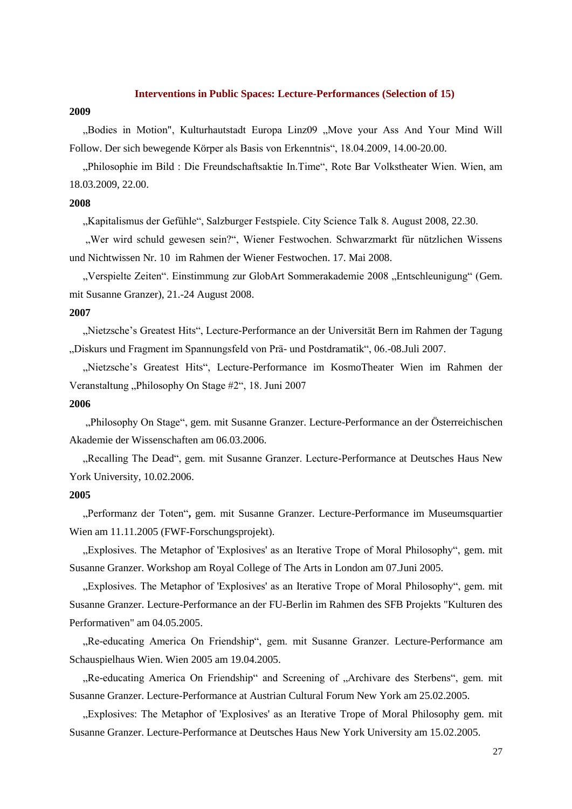#### **Interventions in Public Spaces: Lecture-Performances (Selection of 15)**

### **2009**

"Bodies in Motion", Kulturhautstadt Europa Linz09 "Move your Ass And Your Mind Will Follow. Der sich bewegende Körper als Basis von Erkenntnis", 18.04.2009, 14.00-20.00.

"Philosophie im Bild : Die Freundschaftsaktie In.Time", Rote Bar Volkstheater Wien. Wien, am 18.03.2009, 22.00.

# **2008**

"Kapitalismus der Gefühle", Salzburger Festspiele. City Science Talk 8. August 2008, 22.30.

"Wer wird schuld gewesen sein?", Wiener Festwochen. Schwarzmarkt für nützlichen Wissens und Nichtwissen Nr. 10 im Rahmen der Wiener Festwochen. 17. Mai 2008.

"Verspielte Zeiten". Einstimmung zur GlobArt Sommerakademie 2008 "Entschleunigung" (Gem. mit Susanne Granzer), 21.-24 August 2008.

#### **2007**

"Nietzsche"s Greatest Hits", Lecture-Performance an der Universität Bern im Rahmen der Tagung "Diskurs und Fragment im Spannungsfeld von Prä- und Postdramatik", 06.-08.Juli 2007.

"Nietzsche"s Greatest Hits", Lecture-Performance im KosmoTheater Wien im Rahmen der Veranstaltung "Philosophy On Stage #2", 18. Juni 2007

## **2006**

"Philosophy On Stage", gem. mit Susanne Granzer. Lecture-Performance an der Österreichischen Akademie der Wissenschaften am 06.03.2006.

"Recalling The Dead", gem. mit Susanne Granzer. Lecture-Performance at Deutsches Haus New York University, 10.02.2006.

# **2005**

"Performanz der Toten"**,** gem. mit Susanne Granzer. Lecture-Performance im Museumsquartier Wien am 11.11.2005 (FWF-Forschungsprojekt).

"Explosives. The Metaphor of 'Explosives' as an Iterative Trope of Moral Philosophy", gem. mit Susanne Granzer. Workshop am Royal College of The Arts in London am 07.Juni 2005.

"Explosives. The Metaphor of 'Explosives' as an Iterative Trope of Moral Philosophy", gem. mit Susanne Granzer. Lecture-Performance an der FU-Berlin im Rahmen des SFB Projekts "Kulturen des Performativen" am 04.05.2005.

"Re-educating America On Friendship", gem. mit Susanne Granzer. Lecture-Performance am Schauspielhaus Wien. Wien 2005 am 19.04.2005.

"Re-educating America On Friendship" and Screening of "Archivare des Sterbens", gem. mit Susanne Granzer. Lecture-Performance at Austrian Cultural Forum New York am 25.02.2005.

"Explosives: The Metaphor of 'Explosives' as an Iterative Trope of Moral Philosophy gem*.* mit Susanne Granzer. Lecture-Performance at Deutsches Haus New York University am 15.02.2005.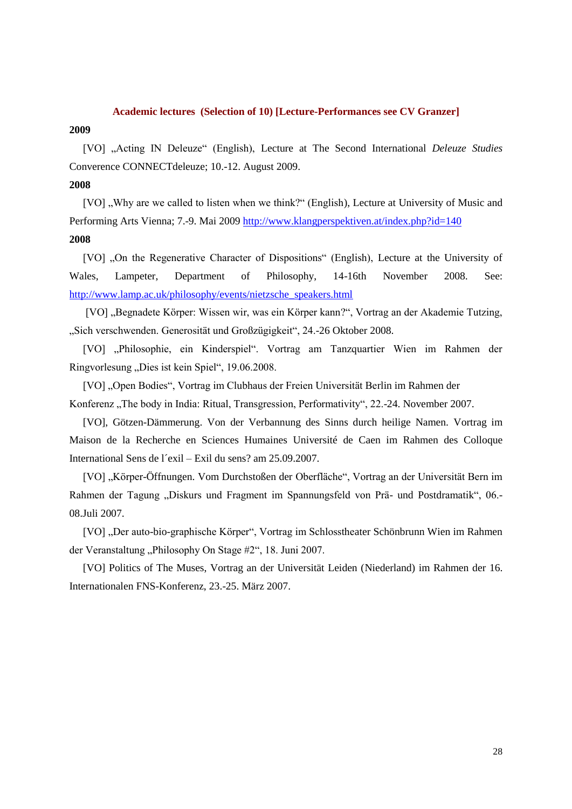#### **Academic lectures (Selection of 10) [Lecture-Performances see CV Granzer]**

#### **2009**

[VO] "Acting IN Deleuze" (English), Lecture at The Second International *Deleuze Studies* Converence CONNECTdeleuze; 10.-12. August 2009.

# **2008**

[VO], Why are we called to listen when we think?" (English), Lecture at University of Music and Performing Arts Vienna; 7.-9. Mai 2009<http://www.klangperspektiven.at/index.php?id=140> **2008**

[VO] "On the Regenerative Character of Dispositions" (English), Lecture at the University of Wales, Lampeter, Department of Philosophy, 14-16th November 2008. See: [http://www.lamp.ac.uk/philosophy/events/nietzsche\\_speakers.html](http://www.lamp.ac.uk/philosophy/events/nietzsche_speakers.html)

[VO] "Begnadete Körper: Wissen wir, was ein Körper kann?", Vortrag an der Akademie Tutzing, "Sich verschwenden. Generosität und Großzügigkeit", 24.-26 Oktober 2008.

[VO] "Philosophie, ein Kinderspiel". Vortrag am Tanzquartier Wien im Rahmen der Ringvorlesung "Dies ist kein Spiel", 19.06.2008.

[VO] "Open Bodies", Vortrag im Clubhaus der Freien Universität Berlin im Rahmen der Konferenz "The body in India: Ritual, Transgression, Performativity", 22.-24. November 2007.

[VO], Götzen-Dämmerung. Von der Verbannung des Sinns durch heilige Namen. Vortrag im Maison de la Recherche en Sciences Humaines Université de Caen im Rahmen des Colloque International Sens de l´exil – Exil du sens? am 25.09.2007.

[VO] "Körper-Öffnungen. Vom Durchstoßen der Oberfläche", Vortrag an der Universität Bern im Rahmen der Tagung "Diskurs und Fragment im Spannungsfeld von Prä- und Postdramatik", 06.-08.Juli 2007.

[VO] "Der auto-bio-graphische Körper", Vortrag im Schlosstheater Schönbrunn Wien im Rahmen der Veranstaltung "Philosophy On Stage #2", 18. Juni 2007.

[VO] Politics of The Muses, Vortrag an der Universität Leiden (Niederland) im Rahmen der 16. Internationalen FNS-Konferenz, 23.-25. März 2007.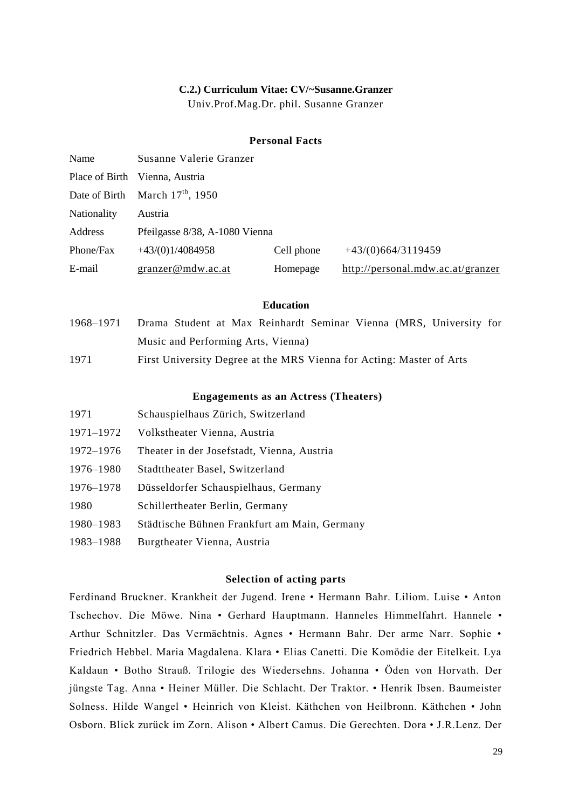#### **C.2.) Curriculum Vitae: CV/~Susanne.Granzer**

Univ.Prof.Mag.Dr. phil. Susanne Granzer

## **Personal Facts**

| Name        | Susanne Valerie Granzer           |            |                                   |
|-------------|-----------------------------------|------------|-----------------------------------|
|             | Place of Birth Vienna, Austria    |            |                                   |
|             | Date of Birth March $17th$ , 1950 |            |                                   |
| Nationality | Austria                           |            |                                   |
| Address     | Pfeilgasse 8/38, A-1080 Vienna    |            |                                   |
| Phone/Fax   | $+43(0)1/4084958$                 | Cell phone | $+43/(0)664/3119459$              |
| E-mail      | granzer@mdw.ac.at                 | Homepage   | http://personal.mdw.ac.at/granzer |

## **Education**

- 1968–1971 Drama Student at Max Reinhardt Seminar Vienna (MRS, University for Music and Performing Arts, Vienna)
- 1971 First University Degree at the MRS Vienna for Acting: Master of Arts

#### **Engagements as an Actress (Theaters)**

| 1971      | Schauspielhaus Zürich, Switzerland           |
|-----------|----------------------------------------------|
| 1971–1972 | Volkstheater Vienna, Austria                 |
| 1972–1976 | Theater in der Josefstadt, Vienna, Austria   |
| 1976–1980 | Stadttheater Basel, Switzerland              |
| 1976–1978 | Düsseldorfer Schauspielhaus, Germany         |
| 1980      | Schillertheater Berlin, Germany              |
| 1980–1983 | Städtische Bühnen Frankfurt am Main, Germany |
|           |                                              |

1983–1988 Burgtheater Vienna, Austria

## **Selection of acting parts**

Ferdinand Bruckner. Krankheit der Jugend. Irene • Hermann Bahr. Liliom. Luise • Anton Tschechov. Die Möwe. Nina • Gerhard Hauptmann. Hanneles Himmelfahrt. Hannele • Arthur Schnitzler. Das Vermächtnis. Agnes • Hermann Bahr. Der arme Narr. Sophie • Friedrich Hebbel. Maria Magdalena. Klara • Elias Canetti. Die Komödie der Eitelkeit. Lya Kaldaun • Botho Strauß. Trilogie des Wiedersehns. Johanna • Öden von Horvath. Der jüngste Tag. Anna • Heiner Müller. Die Schlacht. Der Traktor. • Henrik Ibsen. Baumeister Solness. Hilde Wangel • Heinrich von Kleist. Käthchen von Heilbronn. Käthchen • John Osborn. Blick zurück im Zorn. Alison • Albert Camus. Die Gerechten. Dora • J.R.Lenz. Der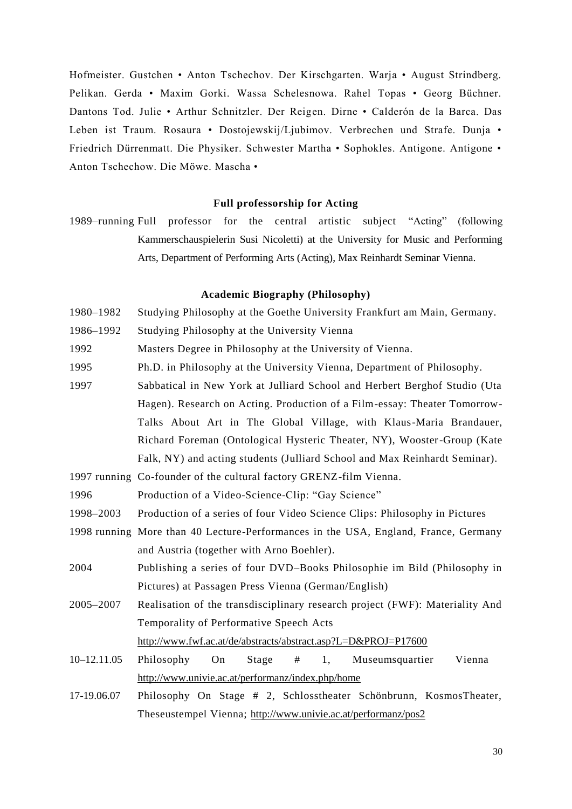Hofmeister. Gustchen • Anton Tschechov. Der Kirschgarten. Warja • August Strindberg. Pelikan. Gerda • Maxim Gorki. Wassa Schelesnowa. Rahel Topas • Georg Büchner. Dantons Tod. Julie • Arthur Schnitzler. Der Reigen. Dirne • Calderón de la Barca. Das Leben ist Traum. Rosaura · Dostojewskij/Ljubimov. Verbrechen und Strafe. Dunja · Friedrich Dürrenmatt. Die Physiker. Schwester Martha • Sophokles. Antigone. Antigone • Anton Tschechow. Die Möwe. Mascha •

# **Full professorship for Acting**

1989–running Full professor for the central artistic subject "Acting" (following Kammerschauspielerin Susi Nicoletti) at the University for Music and Performing Arts, Department of Performing Arts (Acting), Max Reinhardt Seminar Vienna.

# **Academic Biography (Philosophy)**

- 1980–1982 Studying Philosophy at the Goethe University Frankfurt am Main, Germany.
- 1986–1992 Studying Philosophy at the University Vienna

1992 Masters Degree in Philosophy at the University of Vienna.

- 1995 Ph.D. in Philosophy at the University Vienna, Department of Philosophy.
- 1997 Sabbatical in New York at Julliard School and Herbert Berghof Studio (Uta Hagen). Research on Acting. Production of a Film-essay: Theater Tomorrow-Talks About Art in The Global Village, with Klaus-Maria Brandauer, Richard Foreman (Ontological Hysteric Theater, NY), Wooster-Group (Kate Falk, NY) and acting students (Julliard School and Max Reinhardt Seminar).
- 1997 running Co-founder of the cultural factory GRENZ-film Vienna.
- 1996 Production of a Video-Science-Clip: "Gay Science"
- 1998–2003 Production of a series of four Video Science Clips: Philosophy in Pictures
- 1998 running More than 40 Lecture-Performances in the USA, England, France, Germany and Austria (together with Arno Boehler).
- 2004 Publishing a series of four DVD–Books Philosophie im Bild (Philosophy in Pictures) at Passagen Press Vienna (German/English)
- 2005–2007 Realisation of the transdisciplinary research project (FWF): Materiality And Temporality of Performative Speech Acts <http://www.fwf.ac.at/de/abstracts/abstract.asp?L=D&PROJ=P17600>
- 10–12.11.05 Philosophy On Stage # 1, Museumsquartier Vienna <http://www.univie.ac.at/performanz/index.php/home>
- 17-19.06.07 Philosophy On Stage # 2, Schlosstheater Schönbrunn, KosmosTheater, Theseustempel Vienna;<http://www.univie.ac.at/performanz/pos2>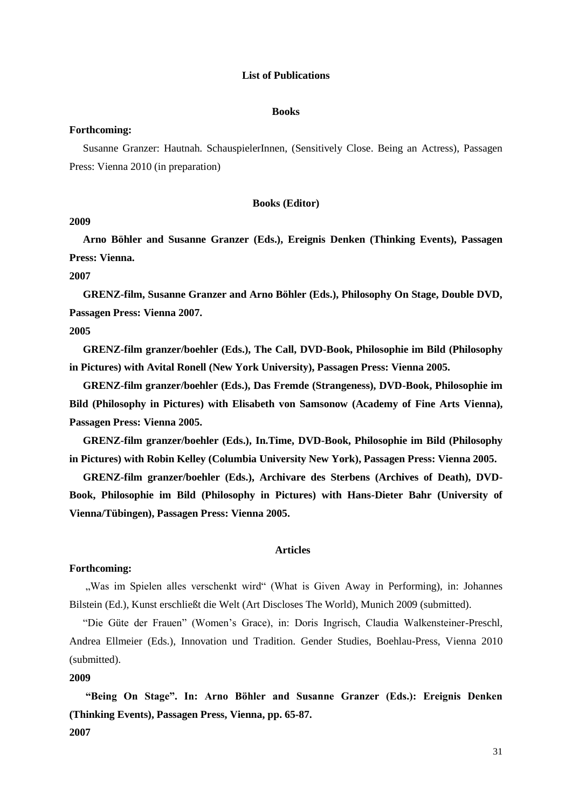### **List of Publications**

#### **Books**

## **Forthcoming:**

Susanne Granzer: Hautnah. SchauspielerInnen, (Sensitively Close. Being an Actress), Passagen Press: Vienna 2010 (in preparation)

#### **Books (Editor)**

#### **2009**

**Arno Böhler and Susanne Granzer (Eds.), Ereignis Denken (Thinking Events), Passagen Press: Vienna.**

**2007**

**GRENZ-film, Susanne Granzer and Arno Böhler (Eds.), Philosophy On Stage, Double DVD, Passagen Press: Vienna 2007.**

# **2005**

**GRENZ-film granzer/boehler (Eds.), The Call, DVD-Book, Philosophie im Bild (Philosophy in Pictures) with Avital Ronell (New York University), Passagen Press: Vienna 2005.** 

**GRENZ-film granzer/boehler (Eds.), Das Fremde (Strangeness), DVD-Book, Philosophie im Bild (Philosophy in Pictures) with Elisabeth von Samsonow (Academy of Fine Arts Vienna), Passagen Press: Vienna 2005.** 

**GRENZ-film granzer/boehler (Eds.), In.Time, DVD-Book, Philosophie im Bild (Philosophy in Pictures) with Robin Kelley (Columbia University New York), Passagen Press: Vienna 2005.** 

**GRENZ-film granzer/boehler (Eds.), Archivare des Sterbens (Archives of Death), DVD-Book, Philosophie im Bild (Philosophy in Pictures) with Hans-Dieter Bahr (University of Vienna/Tübingen), Passagen Press: Vienna 2005.** 

#### **Articles**

#### **Forthcoming:**

"Was im Spielen alles verschenkt wird" (What is Given Away in Performing), in: Johannes Bilstein (Ed.), Kunst erschließt die Welt (Art Discloses The World), Munich 2009 (submitted).

"Die Güte der Frauen" (Women"s Grace), in: Doris Ingrisch, Claudia Walkensteiner-Preschl, Andrea Ellmeier (Eds.), Innovation und Tradition. Gender Studies, Boehlau-Press, Vienna 2010 (submitted).

## **2009**

**"Being On Stage". In: Arno Böhler and Susanne Granzer (Eds.): Ereignis Denken (Thinking Events), Passagen Press, Vienna, pp. 65-87. 2007**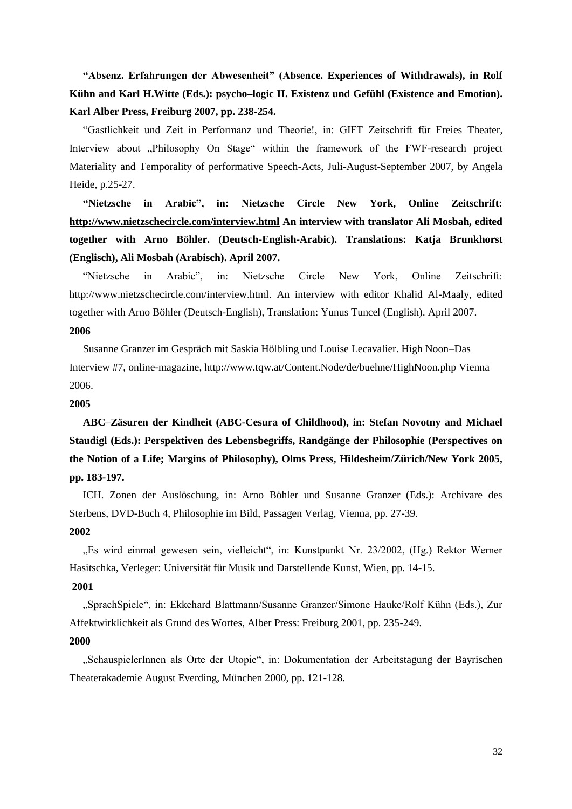**"Absenz. Erfahrungen der Abwesenheit" (Absence. Experiences of Withdrawals), in Rolf Kühn and Karl H.Witte (Eds.): psycho–logic II. Existenz und Gefühl (Existence and Emotion). Karl Alber Press, Freiburg 2007, pp. 238-254.**

"Gastlichkeit und Zeit in Performanz und Theorie!, in: GIFT Zeitschrift für Freies Theater, Interview about "Philosophy On Stage" within the framework of the FWF-research project Materiality and Temporality of performative Speech-Acts, Juli-August-September 2007, by Angela Heide, p.25-27.

**"Nietzsche in Arabic", in: Nietzsche Circle New York, Online Zeitschrift: <http://www.nietzschecircle.com/interview.html> An interview with translator Ali Mosbah, edited together with Arno Böhler. (Deutsch-English-Arabic). Translations: Katja Brunkhorst (Englisch), Ali Mosbah (Arabisch). April 2007.** 

"Nietzsche in Arabic", in: Nietzsche Circle New York, Online Zeitschrift: [http://www.nietzschecircle.com/interview.html.](http://www.nietzschecircle.com/interview.html) An interview with editor Khalid Al-Maaly, edited together with Arno Böhler (Deutsch-English), Translation: Yunus Tuncel (English). April 2007. **2006**

Susanne Granzer im Gespräch mit Saskia Hölbling und Louise Lecavalier. High Noon–Das Interview #7, online-magazine,<http://www.tqw.at/Content.Node/de/buehne/HighNoon.php> Vienna 2006.

#### **2005**

**ABC–Zäsuren der Kindheit (ABC-Cesura of Childhood), in: Stefan Novotny and Michael Staudigl (Eds.): Perspektiven des Lebensbegriffs, Randgänge der Philosophie (Perspectives on the Notion of a Life; Margins of Philosophy), Olms Press, Hildesheim/Zürich/New York 2005, pp. 183-197.**

ICH. Zonen der Auslöschung, in: Arno Böhler und Susanne Granzer (Eds.): Archivare des Sterbens, DVD-Buch 4, Philosophie im Bild, Passagen Verlag, Vienna, pp. 27-39.

# **2002**

"Es wird einmal gewesen sein, vielleicht", in: Kunstpunkt Nr. 23/2002, (Hg.) Rektor Werner Hasitschka, Verleger: Universität für Musik und Darstellende Kunst, Wien, pp. 14-15.

# **2001**

"SprachSpiele", in: Ekkehard Blattmann/Susanne Granzer/Simone Hauke/Rolf Kühn (Eds.), Zur Affektwirklichkeit als Grund des Wortes, Alber Press: Freiburg 2001, pp. 235-249.

# **2000**

"SchauspielerInnen als Orte der Utopie", in: Dokumentation der Arbeitstagung der Bayrischen Theaterakademie August Everding, München 2000, pp. 121-128.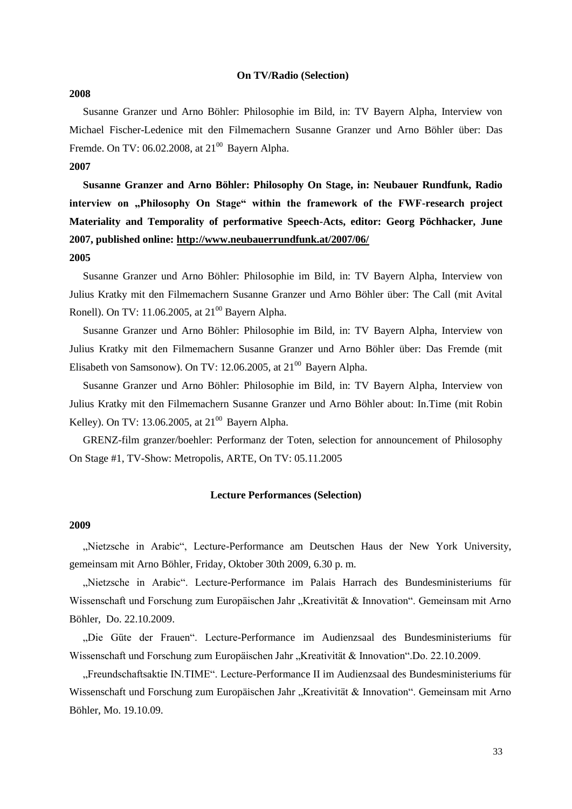#### **On TV/Radio (Selection)**

#### **2008**

Susanne Granzer und Arno Böhler: Philosophie im Bild, in: TV Bayern Alpha, Interview von Michael Fischer-Ledenice mit den Filmemachern Susanne Granzer und Arno Böhler über: Das Fremde. On TV: 06.02.2008, at  $21^{00}$  Bayern Alpha.

# **2007**

**Susanne Granzer and Arno Böhler: Philosophy On Stage, in: Neubauer Rundfunk, Radio interview on "Philosophy On Stage" within the framework of the FWF-research project Materiality and Temporality of performative Speech-Acts, editor: Georg Pöchhacker, June 2007, published online:<http://www.neubauerrundfunk.at/2007/06/>**

# **2005**

Susanne Granzer und Arno Böhler: Philosophie im Bild, in: TV Bayern Alpha, Interview von Julius Kratky mit den Filmemachern Susanne Granzer und Arno Böhler über: The Call (mit Avital Ronell). On TV: 11.06.2005, at  $21^{00}$  Bayern Alpha.

Susanne Granzer und Arno Böhler: Philosophie im Bild, in: TV Bayern Alpha, Interview von Julius Kratky mit den Filmemachern Susanne Granzer und Arno Böhler über: Das Fremde (mit Elisabeth von Samsonow). On TV: 12.06.2005, at  $21^{00}$  Bayern Alpha.

Susanne Granzer und Arno Böhler: Philosophie im Bild, in: TV Bayern Alpha, Interview von Julius Kratky mit den Filmemachern Susanne Granzer und Arno Böhler about: In.Time (mit Robin Kelley). On TV: 13.06.2005, at  $21^{00}$  Bayern Alpha.

GRENZ-film granzer/boehler: Performanz der Toten, selection for announcement of Philosophy On Stage #1, TV-Show: Metropolis, ARTE, On TV: 05.11.2005

#### **Lecture Performances (Selection)**

## **2009**

"Nietzsche in Arabic", Lecture-Performance am Deutschen Haus der New York University, gemeinsam mit Arno Böhler, Friday, Oktober 30th 2009, 6.30 p. m.

"Nietzsche in Arabic". Lecture-Performance im Palais Harrach des Bundesministeriums für Wissenschaft und Forschung zum Europäischen Jahr "Kreativität & Innovation". Gemeinsam mit Arno Böhler, Do. 22.10.2009.

"Die Güte der Frauen". Lecture-Performance im Audienzsaal des Bundesministeriums für Wissenschaft und Forschung zum Europäischen Jahr "Kreativität & Innovation".Do. 22.10.2009.

"Freundschaftsaktie IN.TIME". Lecture-Performance II im Audienzsaal des Bundesministeriums für Wissenschaft und Forschung zum Europäischen Jahr "Kreativität & Innovation". Gemeinsam mit Arno Böhler, Mo. 19.10.09.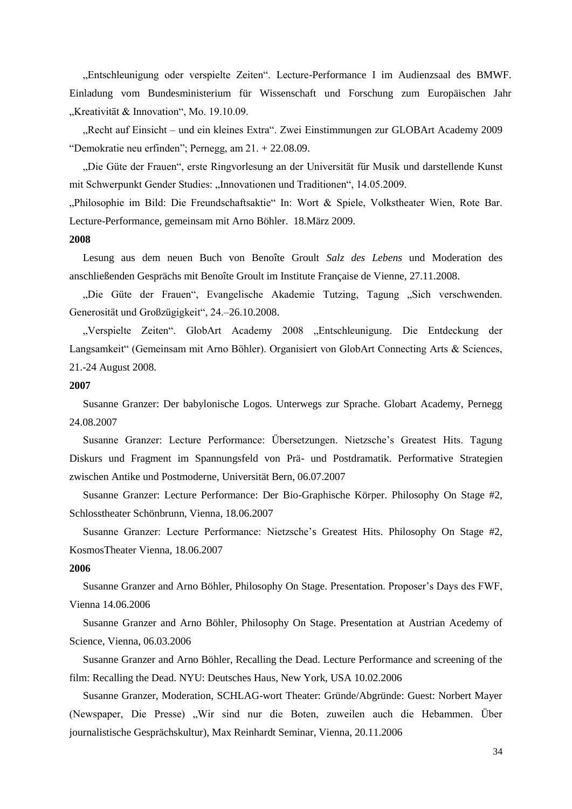"Entschleunigung oder verspielte Zeiten". Lecture-Performance I im Audienzsaal des BMWF. Einladung vom Bundesministerium für Wissenschaft und Forschung zum Europäischen Jahr "Kreativität & Innovation", Mo. 19.10.09.

"Recht auf Einsicht – und ein kleines Extra". Zwei Einstimmungen zur GLOBArt Academy 2009 "Demokratie neu erfinden"; Pernegg, am 21. + 22.08.09.

"Die Güte der Frauen", erste Ringvorlesung an der Universität für Musik und darstellende Kunst mit Schwerpunkt Gender Studies: "Innovationen und Traditionen", 14.05.2009.

"Philosophie im Bild: Die Freundschaftsaktie" In: Wort & Spiele, Volkstheater Wien, Rote Bar. Lecture-Performance, gemeinsam mit Arno Böhler. 18.März 2009.

#### **2008**

Lesung aus dem neuen Buch von Benoîte Groult *Salz des Lebens* und Moderation des anschließenden Gesprächs mit Benoîte Groult im Institute Française de Vienne, 27.11.2008.

"Die Güte der Frauen", Evangelische Akademie Tutzing, Tagung "Sich verschwenden. Generosität und Großzügigkeit", 24.–26.10.2008.

"Verspielte Zeiten". GlobArt Academy 2008 "Entschleunigung. Die Entdeckung der Langsamkeit" (Gemeinsam mit Arno Böhler). Organisiert von GlobArt Connecting Arts & Sciences, 21.-24 August 2008.

## **2007**

Susanne Granzer: Der babylonische Logos. Unterwegs zur Sprache. Globart Academy, Pernegg 24.08.2007

Susanne Granzer: Lecture Performance: Übersetzungen. Nietzsche"s Greatest Hits. Tagung Diskurs und Fragment im Spannungsfeld von Prä- und Postdramatik. Performative Strategien zwischen Antike und Postmoderne, Universität Bern, 06.07.2007

Susanne Granzer: Lecture Performance: Der Bio-Graphische Körper. Philosophy On Stage #2, Schlosstheater Schönbrunn, Vienna, 18.06.2007

Susanne Granzer: Lecture Performance: Nietzsche"s Greatest Hits. Philosophy On Stage #2, KosmosTheater Vienna, 18.06.2007

#### **2006**

Susanne Granzer and Arno Böhler, Philosophy On Stage. Presentation. Proposer"s Days des FWF, Vienna 14.06.2006

Susanne Granzer and Arno Böhler, Philosophy On Stage. Presentation at Austrian Acedemy of Science, Vienna, 06.03.2006

Susanne Granzer and Arno Böhler, Recalling the Dead. Lecture Performance and screening of the film: Recalling the Dead. NYU: Deutsches Haus, New York, USA 10.02.2006

Susanne Granzer, Moderation, SCHLAG-wort Theater: Gründe/Abgründe: Guest: Norbert Mayer (Newspaper, Die Presse) "Wir sind nur die Boten, zuweilen auch die Hebammen. Über journalistische Gesprächskultur), Max Reinhardt Seminar, Vienna, 20.11.2006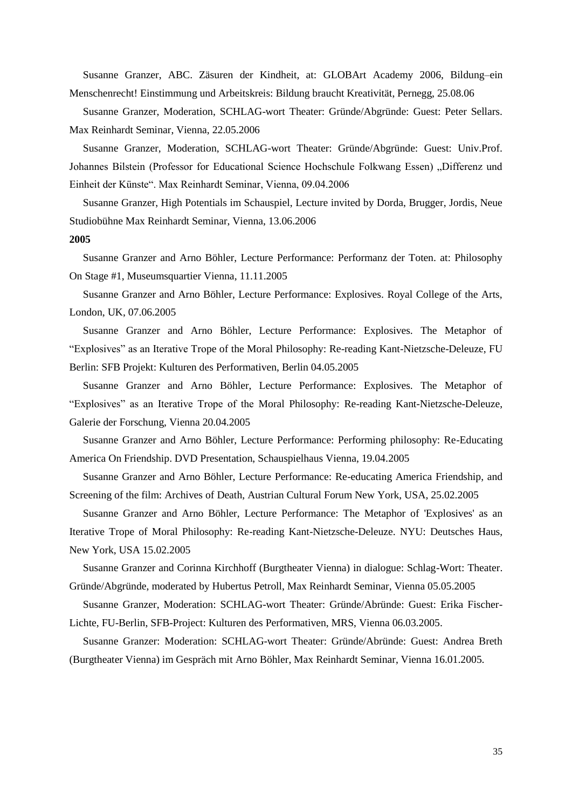Susanne Granzer, ABC. Zäsuren der Kindheit, at: GLOBArt Academy 2006, Bildung–ein Menschenrecht! Einstimmung und Arbeitskreis: Bildung braucht Kreativität, Pernegg, 25.08.06

Susanne Granzer, Moderation, SCHLAG-wort Theater: Gründe/Abgründe: Guest: Peter Sellars. Max Reinhardt Seminar, Vienna, 22.05.2006

Susanne Granzer, Moderation, SCHLAG-wort Theater: Gründe/Abgründe: Guest: Univ.Prof. Johannes Bilstein (Professor for Educational Science Hochschule Folkwang Essen) "Differenz und Einheit der Künste". Max Reinhardt Seminar, Vienna, 09.04.2006

Susanne Granzer, High Potentials im Schauspiel, Lecture invited by Dorda, Brugger, Jordis, Neue Studiobühne Max Reinhardt Seminar, Vienna, 13.06.2006

#### **2005**

Susanne Granzer and Arno Böhler, Lecture Performance: Performanz der Toten. at: Philosophy On Stage #1, Museumsquartier Vienna, 11.11.2005

Susanne Granzer and Arno Böhler, Lecture Performance: Explosives. Royal College of the Arts, London, UK, 07.06.2005

Susanne Granzer and Arno Böhler, Lecture Performance: Explosives. The Metaphor of "Explosives" as an Iterative Trope of the Moral Philosophy: Re-reading Kant-Nietzsche-Deleuze, FU Berlin: SFB Projekt: Kulturen des Performativen, Berlin 04.05.2005

Susanne Granzer and Arno Böhler, Lecture Performance: Explosives. The Metaphor of "Explosives" as an Iterative Trope of the Moral Philosophy: Re-reading Kant-Nietzsche-Deleuze, Galerie der Forschung, Vienna 20.04.2005

Susanne Granzer and Arno Böhler, Lecture Performance: Performing philosophy: Re-Educating America On Friendship. DVD Presentation, Schauspielhaus Vienna, 19.04.2005

Susanne Granzer and Arno Böhler, Lecture Performance: Re-educating America Friendship, and Screening of the film: Archives of Death, Austrian Cultural Forum New York, USA, 25.02.2005

Susanne Granzer and Arno Böhler, Lecture Performance: The Metaphor of 'Explosives' as an Iterative Trope of Moral Philosophy: Re-reading Kant-Nietzsche-Deleuze. NYU: Deutsches Haus, New York, USA 15.02.2005

Susanne Granzer and Corinna Kirchhoff (Burgtheater Vienna) in dialogue: Schlag-Wort: Theater. Gründe/Abgründe, moderated by Hubertus Petroll, Max Reinhardt Seminar, Vienna 05.05.2005

Susanne Granzer, Moderation: SCHLAG-wort Theater: Gründe/Abründe: Guest: Erika Fischer-Lichte, FU-Berlin, SFB-Project: Kulturen des Performativen, MRS, Vienna 06.03.2005.

Susanne Granzer: Moderation: SCHLAG-wort Theater: Gründe/Abründe: Guest: Andrea Breth (Burgtheater Vienna) im Gespräch mit Arno Böhler, Max Reinhardt Seminar, Vienna 16.01.2005.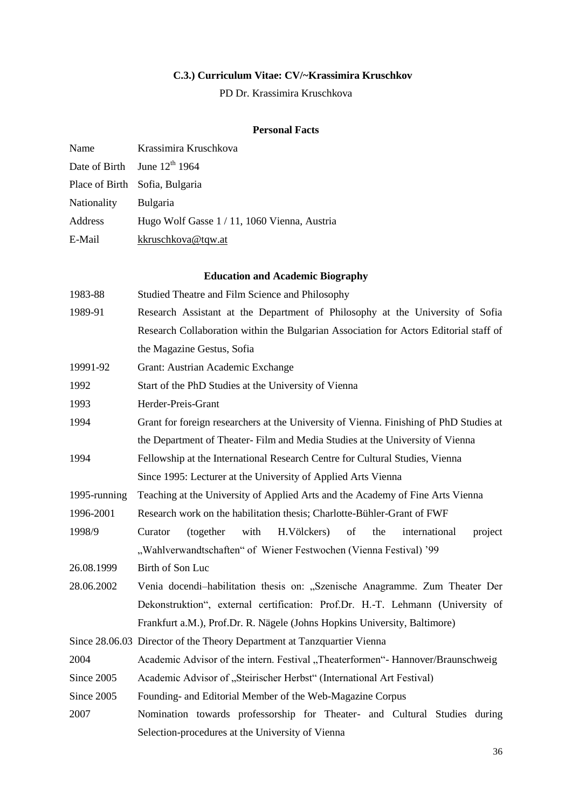# **C.3.) Curriculum Vitae: CV/~Krassimira Kruschkov**

PD Dr. Krassimira Kruschkova

# **Personal Facts**

| Name        | Krassimira Kruschkova                        |
|-------------|----------------------------------------------|
|             | Date of Birth June 12 <sup>th</sup> 1964     |
|             | Place of Birth Sofia, Bulgaria               |
| Nationality | Bulgaria                                     |
| Address     | Hugo Wolf Gasse 1 / 11, 1060 Vienna, Austria |
| E-Mail      | kkruschkova@tqw.at                           |

# **Education and Academic Biography**

| 1983-88      | Studied Theatre and Film Science and Philosophy                                                                                                               |  |
|--------------|---------------------------------------------------------------------------------------------------------------------------------------------------------------|--|
| 1989-91      | Research Assistant at the Department of Philosophy at the University of Sofia                                                                                 |  |
|              | Research Collaboration within the Bulgarian Association for Actors Editorial staff of                                                                         |  |
|              | the Magazine Gestus, Sofia                                                                                                                                    |  |
| 19991-92     | Grant: Austrian Academic Exchange                                                                                                                             |  |
| 1992         | Start of the PhD Studies at the University of Vienna                                                                                                          |  |
| 1993         | Herder-Preis-Grant                                                                                                                                            |  |
| 1994         | Grant for foreign researchers at the University of Vienna. Finishing of PhD Studies at                                                                        |  |
|              | the Department of Theater-Film and Media Studies at the University of Vienna                                                                                  |  |
| 1994         | Fellowship at the International Research Centre for Cultural Studies, Vienna                                                                                  |  |
|              | Since 1995: Lecturer at the University of Applied Arts Vienna                                                                                                 |  |
| 1995-running | Teaching at the University of Applied Arts and the Academy of Fine Arts Vienna                                                                                |  |
| 1996-2001    | Research work on the habilitation thesis; Charlotte-Bühler-Grant of FWF                                                                                       |  |
| 1998/9       | Curator<br>(together<br>with<br>H.Völckers)<br>of<br>the<br>international<br>project                                                                          |  |
|              | "Wahlverwandtschaften" of Wiener Festwochen (Vienna Festival) '99                                                                                             |  |
| 26.08.1999   | Birth of Son Luc                                                                                                                                              |  |
| 28.06.2002   | Venia docendi-habilitation thesis on: "Szenische Anagramme. Zum Theater Der<br>Dekonstruktion", external certification: Prof.Dr. H.-T. Lehmann (University of |  |
|              |                                                                                                                                                               |  |
|              | Frankfurt a.M.), Prof.Dr. R. Nägele (Johns Hopkins University, Baltimore)                                                                                     |  |
|              | Since 28.06.03 Director of the Theory Department at Tanzquartier Vienna                                                                                       |  |
| 2004         | Academic Advisor of the intern. Festival "Theaterformen"- Hannover/Braunschweig                                                                               |  |
| Since 2005   | Academic Advisor of "Steirischer Herbst" (International Art Festival)                                                                                         |  |
| Since 2005   | Founding- and Editorial Member of the Web-Magazine Corpus                                                                                                     |  |
| 2007         | Nomination towards professorship for Theater- and Cultural Studies during                                                                                     |  |
|              | Selection-procedures at the University of Vienna                                                                                                              |  |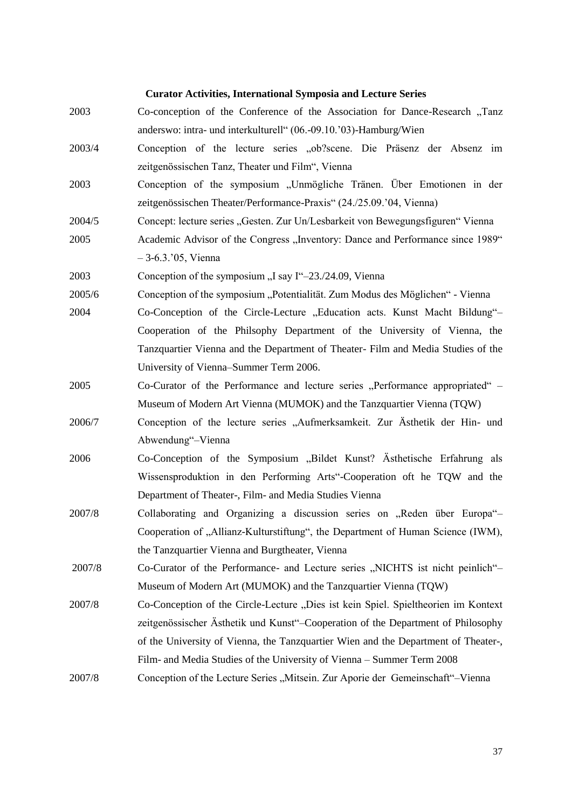## **Curator Activities, International Symposia and Lecture Series**

- 2003 Co-conception of the Conference of the Association for Dance-Research "Tanz" anderswo: intra- und interkulturell" (06.-09.10."03)-Hamburg/Wien
- 2003/4 Conception of the lecture series "ob?scene. Die Präsenz der Absenz im zeitgenössischen Tanz, Theater und Film", Vienna
- 2003 Conception of the symposium "Unmögliche Tränen. Über Emotionen in der zeitgenössischen Theater/Performance-Praxis" (24./25.09."04, Vienna)
- 2004/5 Concept: lecture series "Gesten. Zur Un/Lesbarkeit von Bewegungsfiguren" Vienna
- 2005 Academic Advisor of the Congress "Inventory: Dance and Performance since 1989" – 3-6.3."05, Vienna

2003 Conception of the symposium "I say I"–23./24.09, Vienna

- 2005/6 Conception of the symposium "Potentialität. Zum Modus des Möglichen" Vienna
- 2004 Co-Conception of the Circle-Lecture "Education acts. Kunst Macht Bildung"– Cooperation of the Philsophy Department of the University of Vienna, the Tanzquartier Vienna and the Department of Theater- Film and Media Studies of the University of Vienna–Summer Term 2006.
- 2005 Co-Curator of the Performance and lecture series "Performance appropriated" Museum of Modern Art Vienna (MUMOK) and the Tanzquartier Vienna (TQW)
- 2006/7 Conception of the lecture series "Aufmerksamkeit. Zur Ästhetik der Hin- und Abwendung"–Vienna
- 2006 Co-Conception of the Symposium "Bildet Kunst? Ästhetische Erfahrung als Wissensproduktion in den Performing Arts"-Cooperation oft he TQW and the Department of Theater-, Film- and Media Studies Vienna
- 2007/8 Collaborating and Organizing a discussion series on Reden über Europa<sup>"-</sup> Cooperation of "Allianz-Kulturstiftung", the Department of Human Science (IWM), the Tanzquartier Vienna and Burgtheater, Vienna
- 2007/8 Co-Curator of the Performance- and Lecture series "NICHTS ist nicht peinlich"-Museum of Modern Art (MUMOK) and the Tanzquartier Vienna (TQW)
- 2007/8 Co-Conception of the Circle-Lecture "Dies ist kein Spiel. Spieltheorien im Kontext zeitgenössischer Ästhetik und Kunst"–Cooperation of the Department of Philosophy of the University of Vienna, the Tanzquartier Wien and the Department of Theater-, Film- and Media Studies of the University of Vienna – Summer Term 2008
- 2007/8 Conception of the Lecture Series "Mitsein. Zur Aporie der Gemeinschaft"–Vienna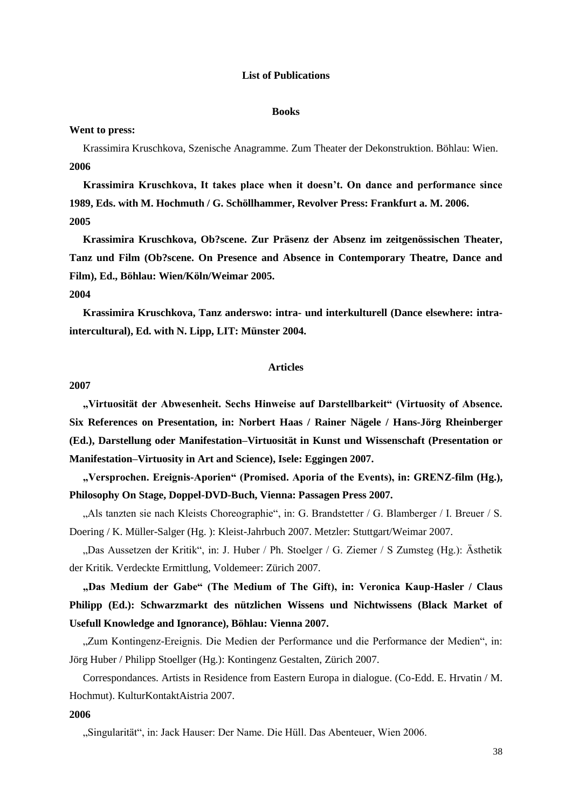### **List of Publications**

#### **Books**

### **Went to press:**

Krassimira Kruschkova, Szenische Anagramme. Zum Theater der Dekonstruktion. Böhlau: Wien. **2006**

**Krassimira Kruschkova, It takes place when it doesn"t. On dance and performance since 1989, Eds. with M. Hochmuth / G. Schöllhammer, Revolver Press: Frankfurt a. M. 2006. 2005**

**Krassimira Kruschkova, Ob?scene. Zur Präsenz der Absenz im zeitgenössischen Theater, Tanz und Film (Ob?scene. On Presence and Absence in Contemporary Theatre, Dance and Film), Ed., Böhlau: Wien/Köln/Weimar 2005.**

## **2004**

**Krassimira Kruschkova, Tanz anderswo: intra- und interkulturell (Dance elsewhere: intraintercultural), Ed. with N. Lipp, LIT: Münster 2004.**

## **Articles**

#### **2007**

**"Virtuosität der Abwesenheit. Sechs Hinweise auf Darstellbarkeit" (Virtuosity of Absence. Six References on Presentation, in: Norbert Haas / Rainer Nägele / Hans-Jörg Rheinberger (Ed.), Darstellung oder Manifestation–Virtuosität in Kunst und Wissenschaft (Presentation or Manifestation–Virtuosity in Art and Science), Isele: Eggingen 2007.**

**"Versprochen. Ereignis-Aporien" (Promised. Aporia of the Events), in: GRENZ-film (Hg.), Philosophy On Stage, Doppel-DVD-Buch, Vienna: Passagen Press 2007.**

"Als tanzten sie nach Kleists Choreographie", in: G. Brandstetter / G. Blamberger / I. Breuer / S. Doering / K. Müller-Salger (Hg. ): Kleist-Jahrbuch 2007. Metzler: Stuttgart/Weimar 2007.

"Das Aussetzen der Kritik", in: J. Huber / Ph. Stoelger / G. Ziemer / S Zumsteg (Hg.): Ästhetik der Kritik. Verdeckte Ermittlung, Voldemeer: Zürich 2007.

**"Das Medium der Gabe" (The Medium of The Gift), in: Veronica Kaup-Hasler / Claus Philipp (Ed.): Schwarzmarkt des nützlichen Wissens und Nichtwissens (Black Market of Usefull Knowledge and Ignorance), Böhlau: Vienna 2007.**

"Zum Kontingenz-Ereignis. Die Medien der Performance und die Performance der Medien", in: Jörg Huber / Philipp Stoellger (Hg.): Kontingenz Gestalten, Zürich 2007.

Correspondances. Artists in Residence from Eastern Europa in dialogue. (Co-Edd. E. Hrvatin / M. Hochmut). KulturKontaktAistria 2007.

#### **2006**

"Singularität", in: Jack Hauser: Der Name. Die Hüll. Das Abenteuer, Wien 2006.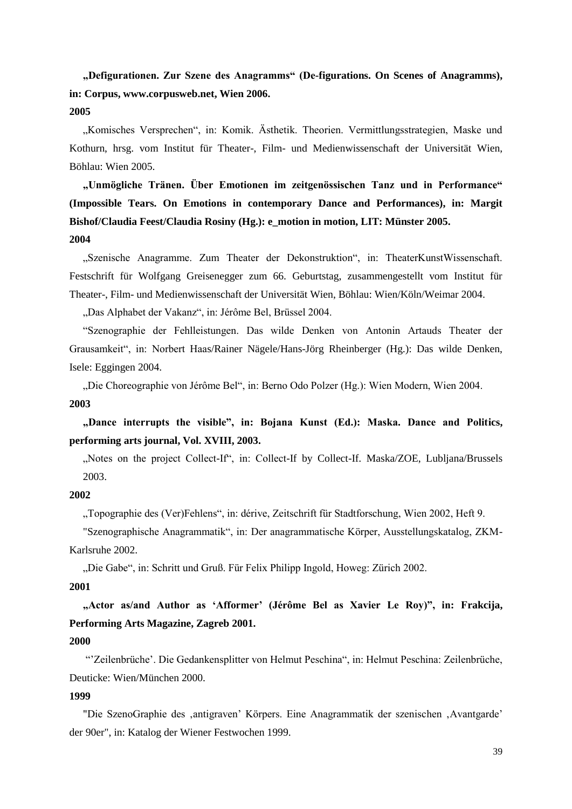**"Defigurationen. Zur Szene des Anagramms" (De-figurations. On Scenes of Anagramms), in: Corpus, www.corpusweb.net, Wien 2006. 2005**

"Komisches Versprechen", in: Komik. Ästhetik. Theorien. Vermittlungsstrategien, Maske und Kothurn, hrsg. vom Institut für Theater-, Film- und Medienwissenschaft der Universität Wien, Böhlau: Wien 2005.

**"Unmögliche Tränen. Über Emotionen im zeitgenössischen Tanz und in Performance" (Impossible Tears. On Emotions in contemporary Dance and Performances), in: Margit Bishof/Claudia Feest/Claudia Rosiny (Hg.): e\_motion in motion, LIT: Münster 2005. 2004**

"Szenische Anagramme. Zum Theater der Dekonstruktion", in: TheaterKunstWissenschaft. Festschrift für Wolfgang Greisenegger zum 66. Geburtstag, zusammengestellt vom Institut für Theater-, Film- und Medienwissenschaft der Universität Wien, Böhlau: Wien/Köln/Weimar 2004.

"Das Alphabet der Vakanz", in: Jérôme Bel, Brüssel 2004.

"Szenographie der Fehlleistungen. Das wilde Denken von Antonin Artauds Theater der Grausamkeit", in: Norbert Haas/Rainer Nägele/Hans-Jörg Rheinberger (Hg.): Das wilde Denken, Isele: Eggingen 2004.

"Die Choreographie von Jérôme Bel", in: Berno Odo Polzer (Hg.): Wien Modern, Wien 2004. **2003**

**"Dance interrupts the visible", in: Bojana Kunst (Ed.): Maska. Dance and Politics, performing arts journal, Vol. XVIII, 2003.** 

"Notes on the project Collect-If", in: Collect-If by Collect-If. Maska/ZOE, Lubljana/Brussels 2003.

# **2002**

"Topographie des (Ver)Fehlens", in: dérive, Zeitschrift für Stadtforschung, Wien 2002, Heft 9.

"Szenographische Anagrammatik", in: Der anagrammatische Körper, Ausstellungskatalog, ZKM-Karlsruhe 2002.

"Die Gabe", in: Schritt und Gruß. Für Felix Philipp Ingold, Howeg: Zürich 2002.

# **2001**

**"Actor as/and Author as "Afformer" (Jérôme Bel as Xavier Le Roy)", in: Frakcija, Performing Arts Magazine, Zagreb 2001.**

### **2000**

""Zeilenbrüche". Die Gedankensplitter von Helmut Peschina", in: Helmut Peschina: Zeilenbrüche, Deuticke: Wien/München 2000.

# **1999**

"Die SzenoGraphie des ,antigraven' Körpers. Eine Anagrammatik der szenischen ,Avantgarde' der 90er", in: Katalog der Wiener Festwochen 1999.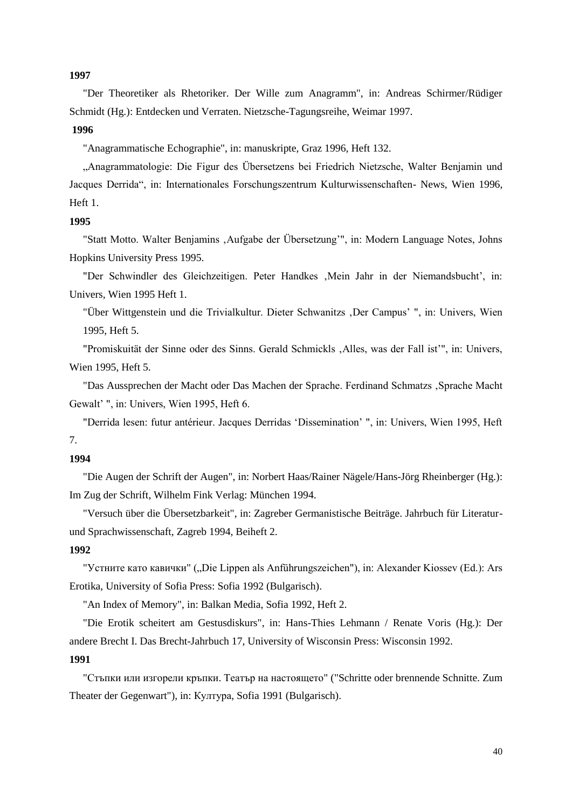#### **1997**

"Der Theoretiker als Rhetoriker. Der Wille zum Anagramm", in: Andreas Schirmer/Rüdiger Schmidt (Hg.): Entdecken und Verraten. Nietzsche-Tagungsreihe, Weimar 1997.

## **1996**

"Anagrammatische Echographie", in: manuskripte, Graz 1996, Heft 132.

"Anagrammatologie: Die Figur des Übersetzens bei Friedrich Nietzsche, Walter Benjamin und Jacques Derrida", in: Internationales Forschungszentrum Kulturwissenschaften- News, Wien 1996, Heft 1.

# **1995**

"Statt Motto. Walter Benjamins 'Aufgabe der Übersetzung"", in: Modern Language Notes, Johns Hopkins University Press 1995.

"Der Schwindler des Gleichzeitigen. Peter Handkes , Mein Jahr in der Niemandsbucht', in: Univers, Wien 1995 Heft 1.

"Über Wittgenstein und die Trivialkultur. Dieter Schwanitzs ,Der Campus'", in: Univers, Wien 1995, Heft 5.

"Promiskuität der Sinne oder des Sinns. Gerald Schmickls , Alles, was der Fall ist", in: Univers, Wien 1995, Heft 5.

"Das Aussprechen der Macht oder Das Machen der Sprache. Ferdinand Schmatzs 'Sprache Macht Gewalt' ", in: Univers, Wien 1995, Heft 6.

"Derrida lesen: futur antérieur. Jacques Derridas "Dissemination" ", in: Univers, Wien 1995, Heft 7.

## **1994**

"Die Augen der Schrift der Augen", in: Norbert Haas/Rainer Nägele/Hans-Jörg Rheinberger (Hg.): Im Zug der Schrift, Wilhelm Fink Verlag: München 1994.

"Versuch über die Übersetzbarkeit", in: Zagreber Germanistische Beiträge. Jahrbuch für Literaturund Sprachwissenschaft, Zagreb 1994, Beiheft 2.

#### **1992**

"Устните като кавички" ("Die Lippen als Anführungszeichen"), in: Alexander Kiossev (Ed.): Ars Erotika, University of Sofia Press: Sofia 1992 (Bulgarisch).

"An Index of Memory", in: Balkan Media, Sofia 1992, Heft 2.

"Die Erotik scheitert am Gestusdiskurs", in: Hans-Thies Lehmann / Renate Voris (Hg.): Der andere Brecht I. Das Brecht-Jahrbuch 17, University of Wisconsin Press: Wisconsin 1992.

# **1991**

"Стъпки или изгорели кръпки. Театър на настоящето" ("Schritte oder brennende Schnitte. Zum Theater der Gegenwart"), in: Култура, Sofia 1991 (Bulgarisch).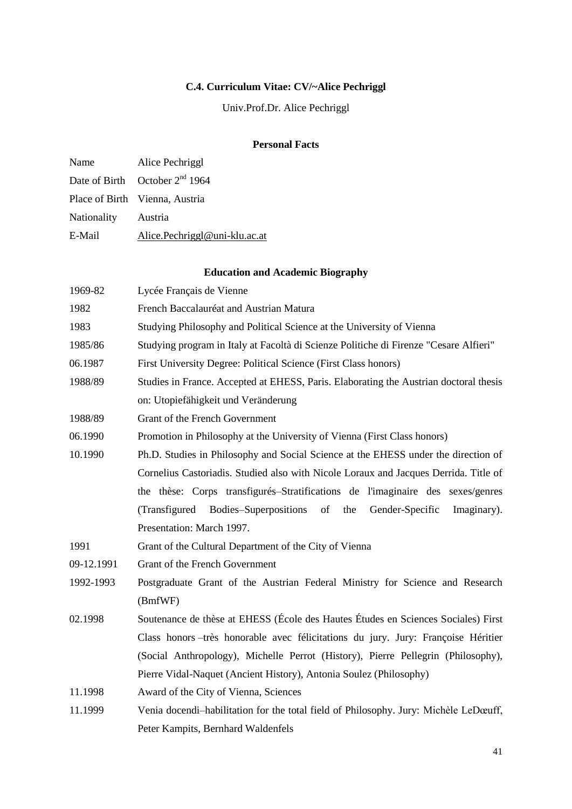# **C.4. Curriculum Vitae: CV/~Alice Pechriggl**

Univ.Prof.Dr. Alice Pechriggl

# **Personal Facts**

| Name                | Alice Pechriggl                            |
|---------------------|--------------------------------------------|
|                     | Date of Birth October 2 <sup>nd</sup> 1964 |
|                     | Place of Birth Vienna, Austria             |
| Nationality Austria |                                            |
| E-Mail              | Alice.Pechriggl@uni-klu.ac.at              |
|                     |                                            |

# **Education and Academic Biography**

| 1969-82    | Lycée Français de Vienne                                                              |
|------------|---------------------------------------------------------------------------------------|
| 1982       | French Baccalauréat and Austrian Matura                                               |
| 1983       | Studying Philosophy and Political Science at the University of Vienna                 |
| 1985/86    | Studying program in Italy at Facoltà di Scienze Politiche di Firenze "Cesare Alfieri" |
| 06.1987    | First University Degree: Political Science (First Class honors)                       |
| 1988/89    | Studies in France. Accepted at EHESS, Paris. Elaborating the Austrian doctoral thesis |
|            | on: Utopiefähigkeit und Veränderung                                                   |
| 1988/89    | Grant of the French Government                                                        |
| 06.1990    | Promotion in Philosophy at the University of Vienna (First Class honors)              |
| 10.1990    | Ph.D. Studies in Philosophy and Social Science at the EHESS under the direction of    |
|            | Cornelius Castoriadis. Studied also with Nicole Loraux and Jacques Derrida. Title of  |
|            | the thèse: Corps transfigurés–Stratifications de l'imaginaire des sexes/genres        |
|            | (Transfigured Bodies–Superpositions of<br>the<br>Gender-Specific<br>Imaginary).       |
|            | Presentation: March 1997.                                                             |
| 1991       | Grant of the Cultural Department of the City of Vienna                                |
| 09-12.1991 | Grant of the French Government                                                        |
| 1992-1993  | Postgraduate Grant of the Austrian Federal Ministry for Science and Research          |
|            | (BmfWF)                                                                               |
| 02.1998    | Soutenance de thèse at EHESS (École des Hautes Études en Sciences Sociales) First     |
|            | Class honors - très honorable avec félicitations du jury. Jury: Françoise Héritier    |
|            | (Social Anthropology), Michelle Perrot (History), Pierre Pellegrin (Philosophy),      |
|            | Pierre Vidal-Naquet (Ancient History), Antonia Soulez (Philosophy)                    |
| 11.1998    | Award of the City of Vienna, Sciences                                                 |
| 11.1999    | Venia docendi-habilitation for the total field of Philosophy. Jury: Michèle LeDœuff,  |
|            | Peter Kampits, Bernhard Waldenfels                                                    |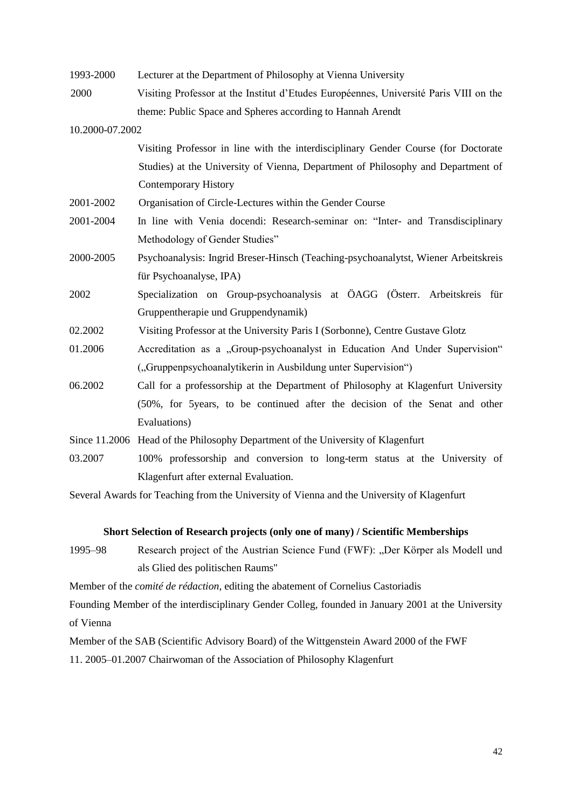| 1993-2000       | Lecturer at the Department of Philosophy at Vienna University                         |
|-----------------|---------------------------------------------------------------------------------------|
| 2000            | Visiting Professor at the Institut d'Etudes Européennes, Université Paris VIII on the |
|                 | theme: Public Space and Spheres according to Hannah Arendt                            |
| 10.2000-07.2002 |                                                                                       |
|                 | Visiting Professor in line with the interdisciplinary Gender Course (for Doctorate    |
|                 | Studies) at the University of Vienna, Department of Philosophy and Department of      |
|                 | <b>Contemporary History</b>                                                           |
| 2001-2002       | Organisation of Circle-Lectures within the Gender Course                              |
| 2001-2004       | In line with Venia docendi: Research-seminar on: "Inter- and Transdisciplinary        |
|                 | Methodology of Gender Studies"                                                        |
| 2000-2005       | Psychoanalysis: Ingrid Breser-Hinsch (Teaching-psychoanalytst, Wiener Arbeitskreis    |
|                 | für Psychoanalyse, IPA)                                                               |
| 2002            | Specialization on Group-psychoanalysis at ÖAGG (Österr. Arbeitskreis für              |
|                 | Gruppentherapie und Gruppendynamik)                                                   |
| 02.2002         | Visiting Professor at the University Paris I (Sorbonne), Centre Gustave Glotz         |
| 01.2006         | Accreditation as a "Group-psychoanalyst in Education And Under Supervision"           |
|                 | ("Gruppenpsychoanalytikerin in Ausbildung unter Supervision")                         |
| 06.2002         | Call for a professorship at the Department of Philosophy at Klagenfurt University     |
|                 | (50%, for 5years, to be continued after the decision of the Senat and other           |
|                 | Evaluations)                                                                          |
|                 | Since 11.2006 Head of the Philosophy Department of the University of Klagenfurt       |
| 03.2007         | 100% professorship and conversion to long-term status at the University of            |
|                 | Klagenfurt after external Evaluation.                                                 |

Several Awards for Teaching from the University of Vienna and the University of Klagenfurt

# **Short Selection of Research projects (only one of many) / Scientific Memberships**

1995–98 Research project of the Austrian Science Fund (FWF): "Der Körper als Modell und als Glied des politischen Raums"

Member of the *comité de rédaction*, editing the abatement of Cornelius Castoriadis

Founding Member of the interdisciplinary Gender Colleg, founded in January 2001 at the University of Vienna

Member of the SAB (Scientific Advisory Board) of the Wittgenstein Award 2000 of the FWF

11. 2005–01.2007 Chairwoman of the Association of Philosophy Klagenfurt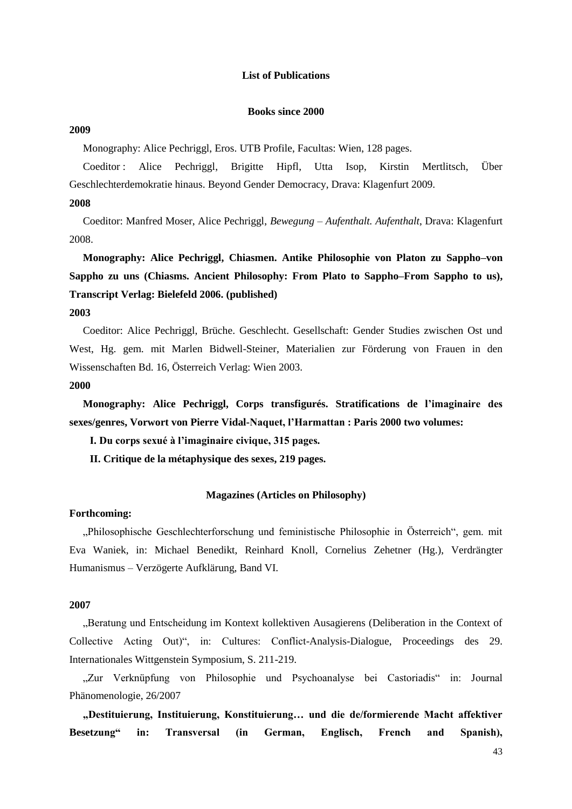### **List of Publications**

## **Books since 2000**

## **2009**

Monography: Alice Pechriggl, Eros. UTB Profile, Facultas: Wien, 128 pages.

Coeditor : Alice Pechriggl, Brigitte Hipfl, Utta Isop, Kirstin Mertlitsch, Über Geschlechterdemokratie hinaus. Beyond Gender Democracy, Drava: Klagenfurt 2009.

# **2008**

Coeditor: Manfred Moser, Alice Pechriggl, *Bewegung – Aufenthalt. Aufenthalt*, Drava: Klagenfurt 2008.

**Monography: Alice Pechriggl, Chiasmen. Antike Philosophie von Platon zu Sappho–von Sappho zu uns (Chiasms. Ancient Philosophy: From Plato to Sappho–From Sappho to us), Transcript Verlag: Bielefeld 2006. (published)**

### **2003**

Coeditor: Alice Pechriggl, Brüche. Geschlecht. Gesellschaft: Gender Studies zwischen Ost und West, Hg. gem. mit Marlen Bidwell-Steiner, Materialien zur Förderung von Frauen in den Wissenschaften Bd. 16, Österreich Verlag: Wien 2003.

### **2000**

**Monography: Alice Pechriggl, Corps transfigurés. Stratifications de l"imaginaire des sexes/genres, Vorwort von Pierre Vidal-Naquet, l"Harmattan : Paris 2000 two volumes:**

**I. Du corps sexué à l"imaginaire civique, 315 pages.** 

**II. Critique de la métaphysique des sexes, 219 pages.**

#### **Magazines (Articles on Philosophy)**

#### **Forthcoming:**

"Philosophische Geschlechterforschung und feministische Philosophie in Österreich", gem. mit Eva Waniek, in: Michael Benedikt, Reinhard Knoll, Cornelius Zehetner (Hg.), Verdrängter Humanismus – Verzögerte Aufklärung, Band VI.

### **2007**

"Beratung und Entscheidung im Kontext kollektiven Ausagierens (Deliberation in the Context of Collective Acting Out)", in: Cultures: Conflict-Analysis-Dialogue, Proceedings des 29. Internationales Wittgenstein Symposium, S. 211-219.

"Zur Verknüpfung von Philosophie und Psychoanalyse bei Castoriadis" in: Journal Phänomenologie, 26/2007

**"Destituierung, Instituierung, Konstituierung… und die de/formierende Macht affektiver Besetzung" in: Transversal (in German, Englisch, French and Spanish),**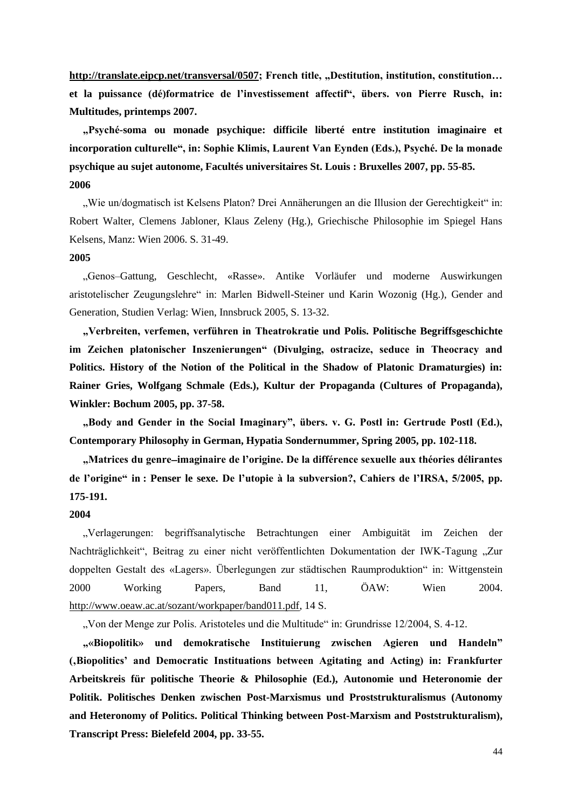[http://translate.eipcp.net/transversal/0507;](http://translate.eipcp.net/transversal/0507) French title, "Destitution, institution, constitution... **et la puissance (dé)formatrice de l"investissement affectif", übers. von Pierre Rusch, in: Multitudes, printemps 2007.**

**"Psyché-soma ou monade psychique: difficile liberté entre institution imaginaire et incorporation culturelle", in: Sophie Klimis, Laurent Van Eynden (Eds.), Psyché. De la monade psychique au sujet autonome, Facultés universitaires St. Louis : Bruxelles 2007, pp. 55-85. 2006**

"Wie un/dogmatisch ist Kelsens Platon? Drei Annäherungen an die Illusion der Gerechtigkeit" in: Robert Walter, Clemens Jabloner, Klaus Zeleny (Hg.), Griechische Philosophie im Spiegel Hans Kelsens, Manz: Wien 2006. S. 31-49.

## **2005**

"Genos–Gattung, Geschlecht, «Rasse». Antike Vorläufer und moderne Auswirkungen aristotelischer Zeugungslehre" in: Marlen Bidwell-Steiner und Karin Wozonig (Hg.), Gender and Generation, Studien Verlag: Wien, Innsbruck 2005, S. 13-32.

**"Verbreiten, verfemen, verführen in Theatrokratie und Polis. Politische Begriffsgeschichte im Zeichen platonischer Inszenierungen" (Divulging, ostracize, seduce in Theocracy and Politics. History of the Notion of the Political in the Shadow of Platonic Dramaturgies) in: Rainer Gries, Wolfgang Schmale (Eds.), Kultur der Propaganda (Cultures of Propaganda), Winkler: Bochum 2005, pp. 37-58.**

**"Body and Gender in the Social Imaginary", übers. v. G. Postl in: Gertrude Postl (Ed.), Contemporary Philosophy in German, Hypatia Sondernummer, Spring 2005, pp. 102-118.**

**"Matrices du genreimaginaire de l"origine. De la différence sexuelle aux théories délirantes de l"origine" in : Penser le sexe. De l"utopie à la subversion?, Cahiers de l"IRSA, 5/2005, pp. 175-191.**

#### **2004**

"Verlagerungen: begriffsanalytische Betrachtungen einer Ambiguität im Zeichen der Nachträglichkeit", Beitrag zu einer nicht veröffentlichten Dokumentation der IWK-Tagung "Zur doppelten Gestalt des «Lagers». Überlegungen zur städtischen Raumproduktion" in: Wittgenstein 2000 Working Papers, Band 11, ÖAW: Wien 2004. [http://www.oeaw.ac.at/sozant/workpaper/band011.pdf,](http://www.oeaw.ac.at/sozant/workpaper/band011.pdf) 14 S.

"Von der Menge zur Polis. Aristoteles und die Multitude" in: Grundrisse 12/2004, S. 4-12.

**"«Biopolitik» und demokratische Instituierung zwischen Agieren und Handeln" ('Biopolitics" and Democratic Instituations between Agitating and Acting) in: Frankfurter Arbeitskreis für politische Theorie & Philosophie (Ed.), Autonomie und Heteronomie der Politik. Politisches Denken zwischen Post-Marxismus und Proststrukturalismus (Autonomy and Heteronomy of Politics. Political Thinking between Post-Marxism and Poststrukturalism), Transcript Press: Bielefeld 2004, pp. 33-55.** 

44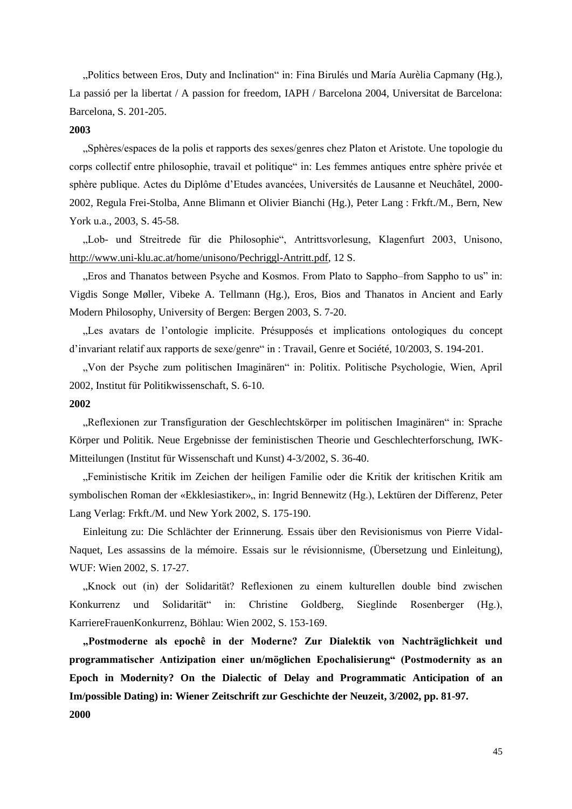"Politics between Eros, Duty and Inclination" in: Fina Birulés und María Aurèlia Capmany (Hg.), La passió per la libertat / A passion for freedom, IAPH / Barcelona 2004, Universitat de Barcelona: Barcelona, S. 201-205.

# **2003**

"Sphères/espaces de la polis et rapports des sexes/genres chez Platon et Aristote. Une topologie du corps collectif entre philosophie, travail et politique" in: Les femmes antiques entre sphère privée et sphère publique. Actes du Diplôme d"Etudes avancées, Universités de Lausanne et Neuchâtel, 2000- 2002, Regula Frei-Stolba, Anne Blimann et Olivier Bianchi (Hg.), Peter Lang : Frkft./M., Bern, New York u.a., 2003, S. 45-58.

"Lob- und Streitrede für die Philosophie", Antrittsvorlesung, Klagenfurt 2003, Unisono, [http://www.uni-klu.ac.at/home/unisono/Pechriggl-Antritt.pdf,](http://www.uni-klu.ac.at/home/unisono/Pechriggl-Antritt.pdf) 12 S.

"Eros and Thanatos between Psyche and Kosmos. From Plato to Sappho–from Sappho to us" in: Vigdis Songe Møller, Vibeke A. Tellmann (Hg.), Eros, Bios and Thanatos in Ancient and Early Modern Philosophy, University of Bergen: Bergen 2003, S. 7-20.

"Les avatars de l"ontologie implicite. Présupposés et implications ontologiques du concept d'invariant relatif aux rapports de sexe/genre" in : Travail, Genre et Société, 10/2003, S. 194-201.

"Von der Psyche zum politischen Imaginären" in: Politix. Politische Psychologie, Wien, April 2002, Institut für Politikwissenschaft, S. 6-10.

## **2002**

"Reflexionen zur Transfiguration der Geschlechtskörper im politischen Imaginären" in: Sprache Körper und Politik. Neue Ergebnisse der feministischen Theorie und Geschlechterforschung, IWK-Mitteilungen (Institut für Wissenschaft und Kunst) 4-3/2002, S. 36-40.

"Feministische Kritik im Zeichen der heiligen Familie oder die Kritik der kritischen Kritik am symbolischen Roman der «Ekklesiastiker», in: Ingrid Bennewitz (Hg.), Lektüren der Differenz, Peter Lang Verlag: Frkft./M. und New York 2002, S. 175-190.

Einleitung zu: Die Schlächter der Erinnerung. Essais über den Revisionismus von Pierre Vidal-Naquet, Les assassins de la mémoire. Essais sur le révisionnisme, (Übersetzung und Einleitung), WUF: Wien 2002, S. 17-27.

"Knock out (in) der Solidarität? Reflexionen zu einem kulturellen double bind zwischen Konkurrenz und Solidarität" in: Christine Goldberg, Sieglinde Rosenberger (Hg.), KarriereFrauenKonkurrenz, Böhlau: Wien 2002, S. 153-169.

**"Postmoderne als epochê in der Moderne? Zur Dialektik von Nachträglichkeit und programmatischer Antizipation einer un/möglichen Epochalisierung" (Postmodernity as an Epoch in Modernity? On the Dialectic of Delay and Programmatic Anticipation of an Im/possible Dating) in: Wiener Zeitschrift zur Geschichte der Neuzeit, 3/2002, pp. 81-97. 2000**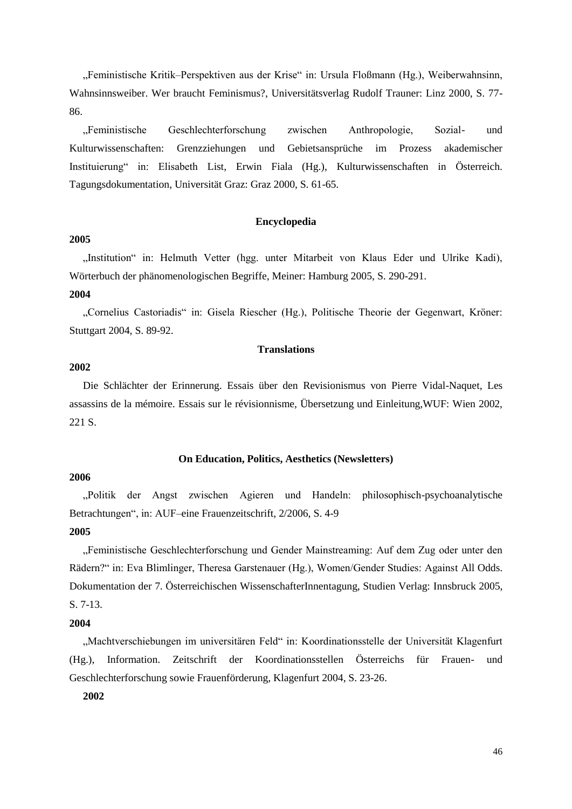"Feministische Kritik–Perspektiven aus der Krise" in: Ursula Floßmann (Hg.), Weiberwahnsinn, Wahnsinnsweiber. Wer braucht Feminismus?, Universitätsverlag Rudolf Trauner: Linz 2000, S. 77- 86.

"Feministische Geschlechterforschung zwischen Anthropologie, Sozial- und Kulturwissenschaften: Grenzziehungen und Gebietsansprüche im Prozess akademischer Instituierung" in: Elisabeth List, Erwin Fiala (Hg.), Kulturwissenschaften in Österreich. Tagungsdokumentation, Universität Graz: Graz 2000, S. 61-65.

#### **Encyclopedia**

## **2005**

"Institution" in: Helmuth Vetter (hgg. unter Mitarbeit von Klaus Eder und Ulrike Kadi), Wörterbuch der phänomenologischen Begriffe, Meiner: Hamburg 2005, S. 290-291.

#### **2004**

"Cornelius Castoriadis" in: Gisela Riescher (Hg.), Politische Theorie der Gegenwart, Kröner: Stuttgart 2004, S. 89-92.

# **Translations**

# **2002**

Die Schlächter der Erinnerung. Essais über den Revisionismus von Pierre Vidal-Naquet, Les assassins de la mémoire. Essais sur le révisionnisme, Übersetzung und Einleitung,WUF: Wien 2002, 221 S.

## **On Education, Politics, Aesthetics (Newsletters)**

### **2006**

"Politik der Angst zwischen Agieren und Handeln: philosophisch-psychoanalytische Betrachtungen", in: AUF–eine Frauenzeitschrift, 2/2006, S. 4-9

# **2005**

"Feministische Geschlechterforschung und Gender Mainstreaming: Auf dem Zug oder unter den Rädern?" in: Eva Blimlinger, Theresa Garstenauer (Hg.), Women/Gender Studies: Against All Odds. Dokumentation der 7. Österreichischen WissenschafterInnentagung, Studien Verlag: Innsbruck 2005, S. 7-13.

## **2004**

"Machtverschiebungen im universitären Feld" in: Koordinationsstelle der Universität Klagenfurt (Hg.), Information. Zeitschrift der Koordinationsstellen Österreichs für Frauen- und Geschlechterforschung sowie Frauenförderung, Klagenfurt 2004, S. 23-26.

# **2002**